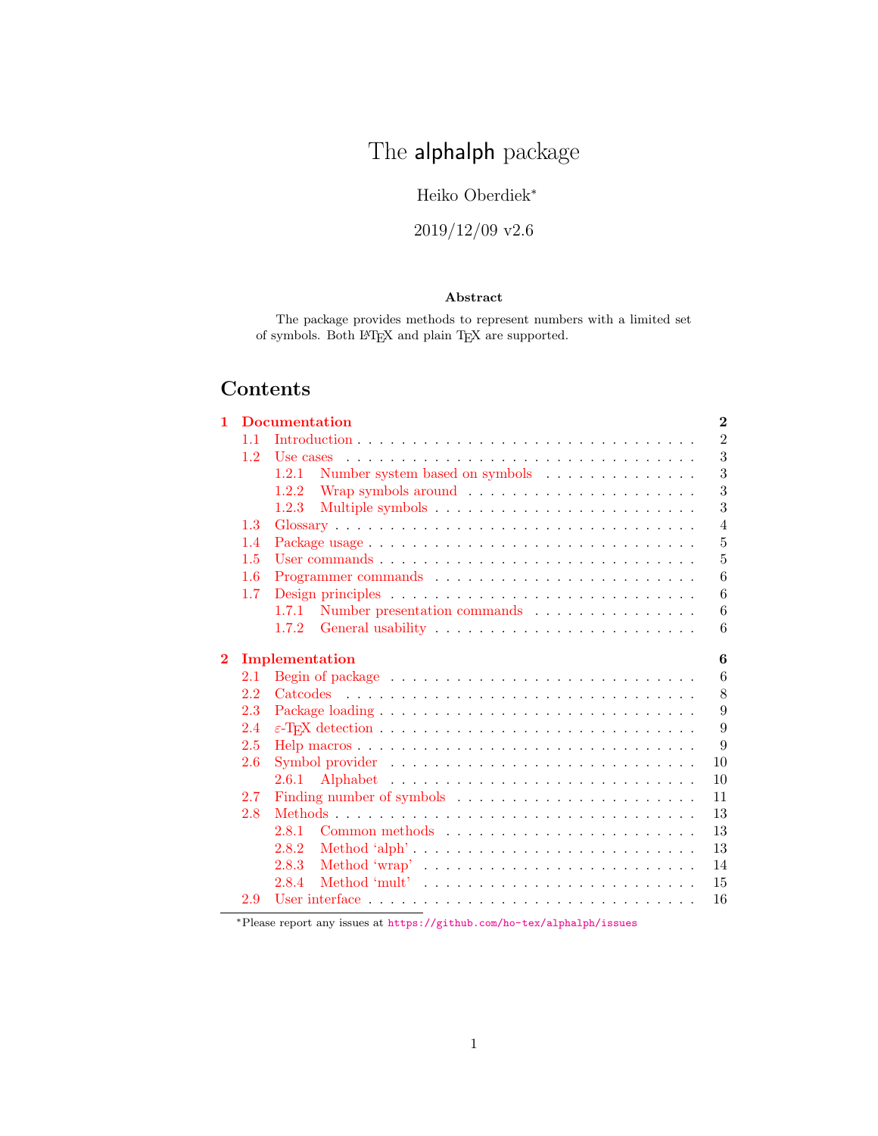# The **alphalph** package

# Heiko Oberdiek<sup>∗</sup>

# 2019/12/09 v2.6

# Abstract

The package provides methods to represent numbers with a limited set of symbols. Both  $\mathbb{F}\!T_{\!E}\!X$  and plain T<sub>E</sub>X are supported.

# Contents

| 11<br>1.2<br>Use cases<br>Number system based on symbols $\quad \ldots \ldots \ldots \ldots \ldots$<br>1.2.1<br>1.2.2<br>1.2.3<br>1.3<br>1.4<br>User commands $\ldots$ $\ldots$ $\ldots$ $\ldots$ $\ldots$ $\ldots$ $\ldots$ $\ldots$ $\ldots$ $\ldots$ $\ldots$ $\ldots$<br>1.5<br>1.6<br>1.7<br>Number presentation commands<br>1.7.1<br>1.7.2<br>$\bf{2}$<br>Implementation<br>2.1<br>2.2<br>2.3<br>2.4<br>2.5<br>2.6<br>2.6.1<br>2.7<br>2.8<br>2.8.1<br>2.8.2<br>Method 'alph' $\ldots \ldots \ldots \ldots \ldots \ldots \ldots \ldots \ldots \ldots$<br>2.8.3<br>Method 'wrap' $\dots \dots \dots \dots \dots \dots \dots \dots \dots \dots$<br>2.8.4<br>2.9 | 1 | <b>Documentation</b> | $\bf{2}$       |
|--------------------------------------------------------------------------------------------------------------------------------------------------------------------------------------------------------------------------------------------------------------------------------------------------------------------------------------------------------------------------------------------------------------------------------------------------------------------------------------------------------------------------------------------------------------------------------------------------------------------------------------------------------------------|---|----------------------|----------------|
|                                                                                                                                                                                                                                                                                                                                                                                                                                                                                                                                                                                                                                                                    |   |                      | $\overline{2}$ |
|                                                                                                                                                                                                                                                                                                                                                                                                                                                                                                                                                                                                                                                                    |   |                      | 3              |
|                                                                                                                                                                                                                                                                                                                                                                                                                                                                                                                                                                                                                                                                    |   |                      | 3              |
|                                                                                                                                                                                                                                                                                                                                                                                                                                                                                                                                                                                                                                                                    |   |                      | 3              |
|                                                                                                                                                                                                                                                                                                                                                                                                                                                                                                                                                                                                                                                                    |   |                      | 3              |
|                                                                                                                                                                                                                                                                                                                                                                                                                                                                                                                                                                                                                                                                    |   |                      | $\overline{4}$ |
|                                                                                                                                                                                                                                                                                                                                                                                                                                                                                                                                                                                                                                                                    |   |                      | $\overline{5}$ |
|                                                                                                                                                                                                                                                                                                                                                                                                                                                                                                                                                                                                                                                                    |   |                      | $\overline{5}$ |
|                                                                                                                                                                                                                                                                                                                                                                                                                                                                                                                                                                                                                                                                    |   |                      | 6              |
|                                                                                                                                                                                                                                                                                                                                                                                                                                                                                                                                                                                                                                                                    |   |                      | 6              |
|                                                                                                                                                                                                                                                                                                                                                                                                                                                                                                                                                                                                                                                                    |   |                      | 6              |
|                                                                                                                                                                                                                                                                                                                                                                                                                                                                                                                                                                                                                                                                    |   |                      | 6              |
|                                                                                                                                                                                                                                                                                                                                                                                                                                                                                                                                                                                                                                                                    |   |                      | 6              |
|                                                                                                                                                                                                                                                                                                                                                                                                                                                                                                                                                                                                                                                                    |   |                      | 6              |
|                                                                                                                                                                                                                                                                                                                                                                                                                                                                                                                                                                                                                                                                    |   |                      | 8              |
|                                                                                                                                                                                                                                                                                                                                                                                                                                                                                                                                                                                                                                                                    |   |                      | 9              |
|                                                                                                                                                                                                                                                                                                                                                                                                                                                                                                                                                                                                                                                                    |   |                      | 9              |
|                                                                                                                                                                                                                                                                                                                                                                                                                                                                                                                                                                                                                                                                    |   |                      | 9              |
|                                                                                                                                                                                                                                                                                                                                                                                                                                                                                                                                                                                                                                                                    |   |                      | 10             |
|                                                                                                                                                                                                                                                                                                                                                                                                                                                                                                                                                                                                                                                                    |   |                      | 10             |
|                                                                                                                                                                                                                                                                                                                                                                                                                                                                                                                                                                                                                                                                    |   |                      | 11             |
|                                                                                                                                                                                                                                                                                                                                                                                                                                                                                                                                                                                                                                                                    |   |                      | 13             |
|                                                                                                                                                                                                                                                                                                                                                                                                                                                                                                                                                                                                                                                                    |   |                      | 13             |
|                                                                                                                                                                                                                                                                                                                                                                                                                                                                                                                                                                                                                                                                    |   |                      | 13             |
|                                                                                                                                                                                                                                                                                                                                                                                                                                                                                                                                                                                                                                                                    |   |                      | 14             |
|                                                                                                                                                                                                                                                                                                                                                                                                                                                                                                                                                                                                                                                                    |   |                      | 15             |
|                                                                                                                                                                                                                                                                                                                                                                                                                                                                                                                                                                                                                                                                    |   |                      | 16             |

<sup>∗</sup>Please report any issues at <https://github.com/ho-tex/alphalph/issues>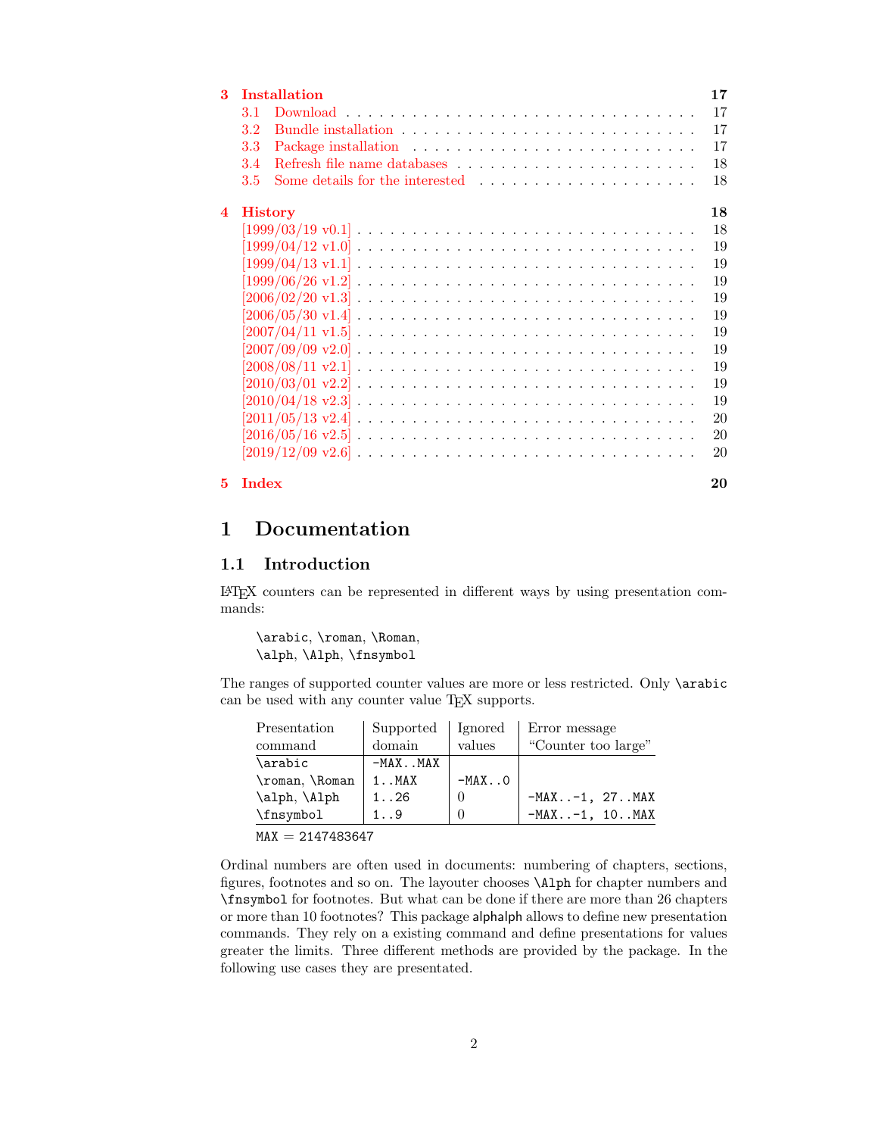| 3  |                | <b>Installation</b>                                                                                      | 17 |
|----|----------------|----------------------------------------------------------------------------------------------------------|----|
|    | 3.1            |                                                                                                          | 17 |
|    | 3.2            |                                                                                                          | 17 |
|    | 3.3            |                                                                                                          | 17 |
|    | 3.4            |                                                                                                          | 18 |
|    | 3.5            |                                                                                                          | 18 |
| 4  | <b>History</b> |                                                                                                          | 18 |
|    |                | $[1999/03/19 \text{ v}0.1] \ldots \ldots \ldots \ldots \ldots \ldots \ldots \ldots \ldots \ldots \ldots$ | 18 |
|    |                |                                                                                                          | 19 |
|    |                |                                                                                                          | 19 |
|    |                |                                                                                                          | 19 |
|    |                |                                                                                                          | 19 |
|    |                |                                                                                                          | 19 |
|    |                |                                                                                                          | 19 |
|    |                |                                                                                                          | 19 |
|    |                |                                                                                                          | 19 |
|    |                |                                                                                                          | 19 |
|    |                |                                                                                                          | 19 |
|    |                |                                                                                                          | 20 |
|    |                |                                                                                                          | 20 |
|    |                |                                                                                                          | 20 |
| 5. | <b>Index</b>   |                                                                                                          | 20 |

# <span id="page-1-0"></span>1 Documentation

# <span id="page-1-1"></span>1.1 Introduction

LATEX counters can be represented in different ways by using presentation commands:

\arabic, \roman, \Roman, \alph, \Alph, \fnsymbol

The ranges of supported counter values are more or less restricted. Only \arabic can be used with any counter value TEX supports.

| Presentation                                 | Supported    | Ignored  | Error message         |
|----------------------------------------------|--------------|----------|-----------------------|
| command                                      | domain       | values   | "Counter too large"   |
| \arabic                                      | $-MAX$ $MAX$ |          |                       |
| \roman,\Roman                                | $1$ $MAX$    | $-MAX.0$ |                       |
| \alph, \Alph                                 | 1. .26       | $\theta$ | $-MAX. -1, 27.$ MAX   |
| \fnsymbol                                    | 1.9          | $\Omega$ | $-MAX. -1, 10.$ . MAX |
| <b>BEA 37</b><br>. <del>.</del> <del>.</del> |              |          |                       |

 $MAX = 2147483647$ 

Ordinal numbers are often used in documents: numbering of chapters, sections, figures, footnotes and so on. The layouter chooses \Alph for chapter numbers and \fnsymbol for footnotes. But what can be done if there are more than 26 chapters or more than 10 footnotes? This package alphalph allows to define new presentation commands. They rely on a existing command and define presentations for values greater the limits. Three different methods are provided by the package. In the following use cases they are presentated.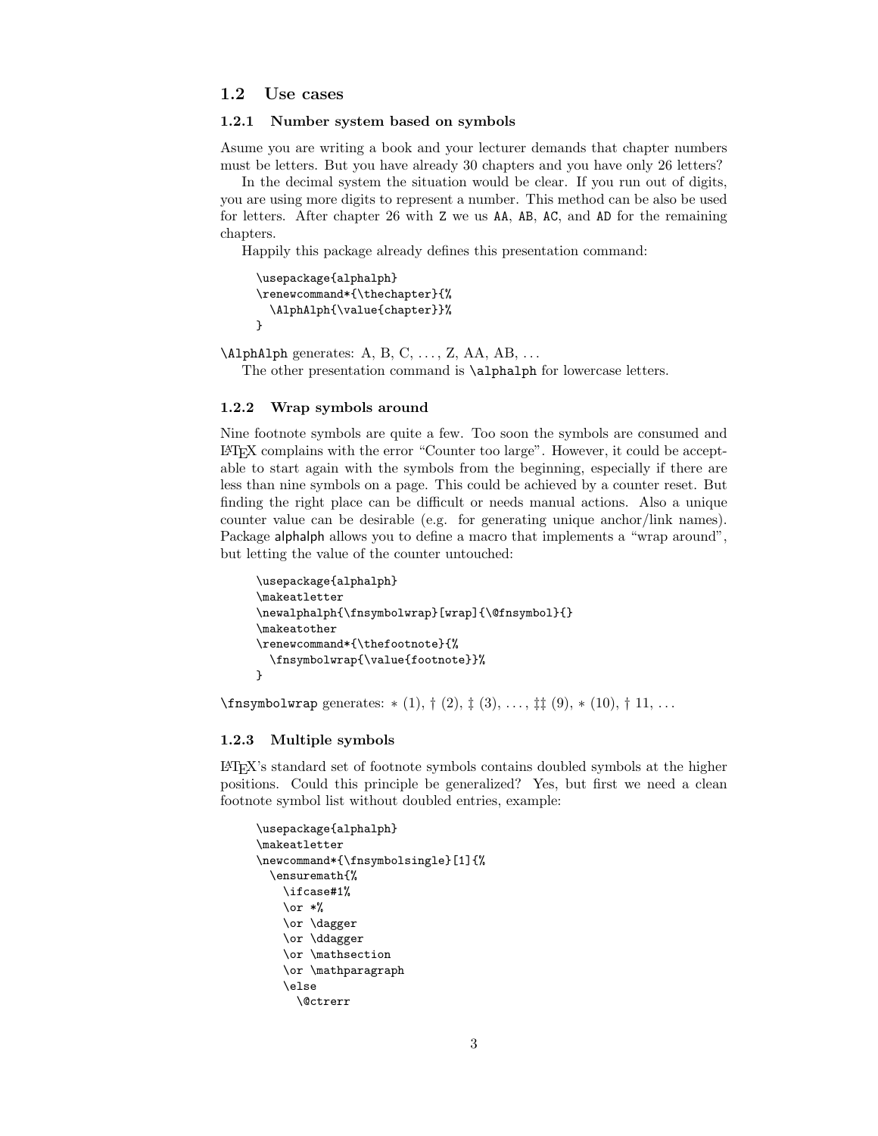#### <span id="page-2-0"></span>1.2 Use cases

#### <span id="page-2-1"></span>1.2.1 Number system based on symbols

Asume you are writing a book and your lecturer demands that chapter numbers must be letters. But you have already 30 chapters and you have only 26 letters?

In the decimal system the situation would be clear. If you run out of digits, you are using more digits to represent a number. This method can be also be used for letters. After chapter 26 with Z we us AA, AB, AC, and AD for the remaining chapters.

Happily this package already defines this presentation command:

```
\usepackage{alphalph}
\renewcommand*{\thechapter}{%
  \AlphAlph{\value{chapter}}%
}
```
 $\Delta$ PhAlph generates: A, B, C, ..., Z, AA, AB, ...

The other presentation command is \alphalph for lowercase letters.

#### <span id="page-2-2"></span>1.2.2 Wrap symbols around

Nine footnote symbols are quite a few. Too soon the symbols are consumed and LATEX complains with the error "Counter too large". However, it could be acceptable to start again with the symbols from the beginning, especially if there are less than nine symbols on a page. This could be achieved by a counter reset. But finding the right place can be difficult or needs manual actions. Also a unique counter value can be desirable (e.g. for generating unique anchor/link names). Package alphalph allows you to define a macro that implements a "wrap around", but letting the value of the counter untouched:

```
\usepackage{alphalph}
\makeatletter
\newalphalph{\fnsymbolwrap}[wrap]{\@fnsymbol}{}
\makeatother
\renewcommand*{\thefootnote}{%
  \fnsymbolwrap{\value{footnote}}%
}
```
\fnsymbolwrap generates: ∗ (1), † (2), ‡ (3), . . . , ‡‡ (9), ∗ (10), † 11, . . .

#### <span id="page-2-3"></span>1.2.3 Multiple symbols

LATEX's standard set of footnote symbols contains doubled symbols at the higher positions. Could this principle be generalized? Yes, but first we need a clean footnote symbol list without doubled entries, example:

```
\usepackage{alphalph}
\makeatletter
\newcommand*{\fnsymbolsingle}[1]{%
  \ensuremath{%
    \ifcase#1%
    \or *%
    \or \dagger
    \or \ddagger
    \or \mathsection
    \or \mathparagraph
    \else
      \@ctrerr
```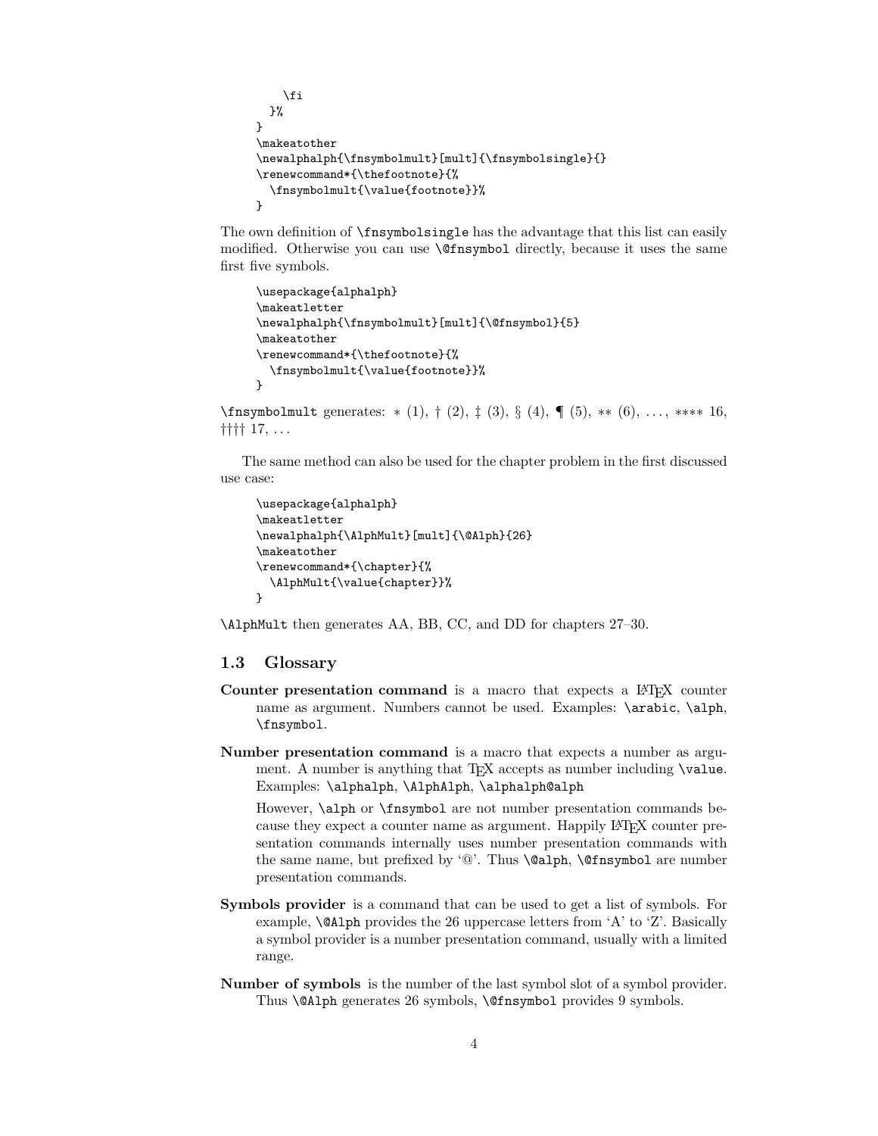```
\fi
  }%
}
\makeatother
\newalphalph{\fnsymbolmult}[mult]{\fnsymbolsingle}{}
\renewcommand*{\thefootnote}{%
  \fnsymbolmult{\value{footnote}}%
}
```
The own definition of \fnsymbolsingle has the advantage that this list can easily modified. Otherwise you can use \@fnsymbol directly, because it uses the same first five symbols.

```
\usepackage{alphalph}
\makeatletter
\newalphalph{\fnsymbolmult}[mult]{\@fnsymbol}{5}
\makeatother
\renewcommand*{\thefootnote}{%
  \fnsymbolmult{\value{footnote}}%
}
```
\fnsymbolmult generates: ∗ (1), † (2), ‡ (3), § (4), ¶ (5), ∗∗ (6), . . . , ∗∗∗∗ 16, †††† 17, . . .

The same method can also be used for the chapter problem in the first discussed use case:

```
\usepackage{alphalph}
\makeatletter
\newalphalph{\AlphMult}[mult]{\@Alph}{26}
\makeatother
\renewcommand*{\chapter}{%
  \AlphMult{\value{chapter}}%
}
```
\AlphMult then generates AA, BB, CC, and DD for chapters 27–30.

# <span id="page-3-0"></span>1.3 Glossary

- Counter presentation command is a macro that expects a L<sup>AT</sup>EX counter name as argument. Numbers cannot be used. Examples: \arabic, \alph, \fnsymbol.
- Number presentation command is a macro that expects a number as argument. A number is anything that T<sub>E</sub>X accepts as number including \value. Examples: \alphalph, \AlphAlph, \alphalph@alph

However, \alph or \fnsymbol are not number presentation commands because they expect a counter name as argument. Happily LAT<sub>EX</sub> counter presentation commands internally uses number presentation commands with the same name, but prefixed by '@'. Thus \@alph, \@fnsymbol are number presentation commands.

- Symbols provider is a command that can be used to get a list of symbols. For example, \@Alph provides the 26 uppercase letters from 'A' to 'Z'. Basically a symbol provider is a number presentation command, usually with a limited range.
- Number of symbols is the number of the last symbol slot of a symbol provider. Thus \@Alph generates 26 symbols, \@fnsymbol provides 9 symbols.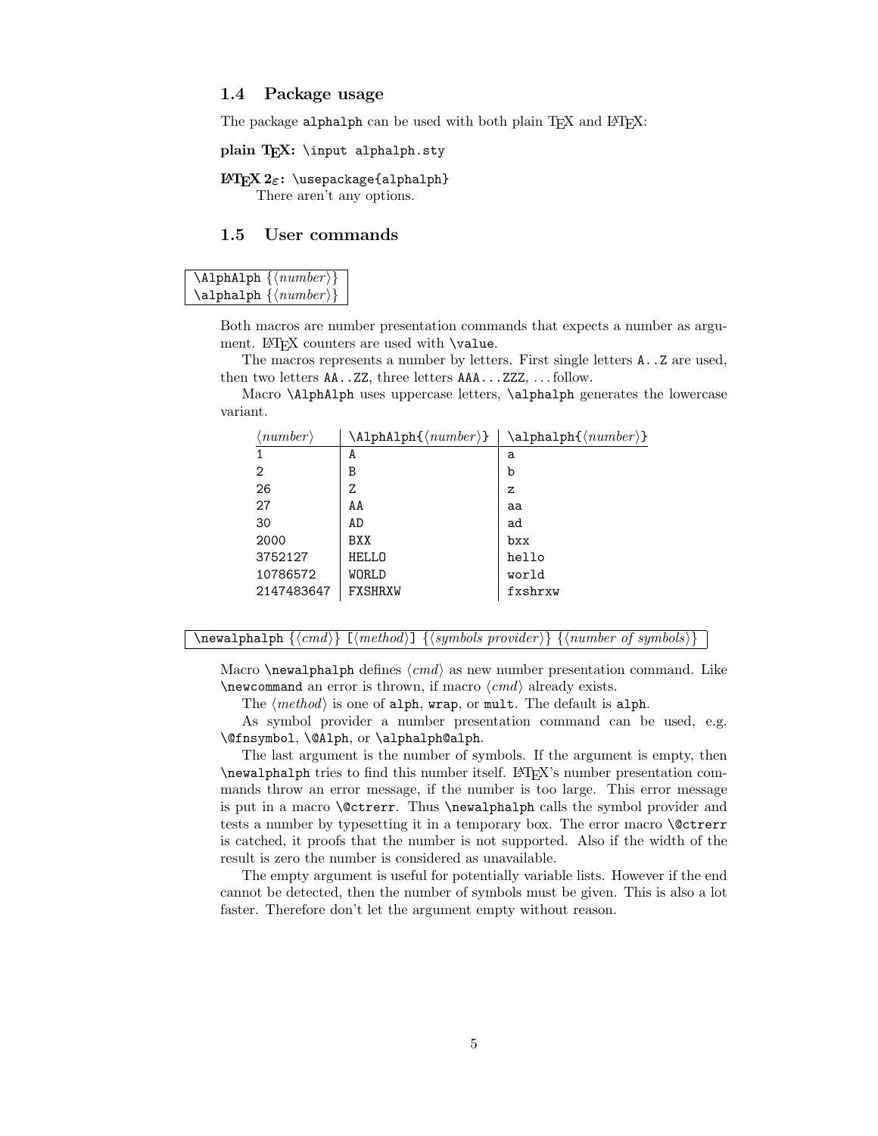#### <span id="page-4-0"></span>1.4 Package usage

The package alphalph can be used with both plain TFX and LATFX:

plain  $T_FX: \infty$  alphalph.sty

# $LAT$ <sub>F</sub>X 2<sub>ε</sub>: \usepackage{alphalph}

There aren't any options.

# <span id="page-4-1"></span>1.5 User commands

<span id="page-4-2"></span>

Both macros are number presentation commands that expects a number as argument.  $\mathbb{F}X$  counters are used with  $\val$ ue.

The macros represents a number by letters. First single letters A..Z are used, then two letters AA..ZZ, three letters AAA...ZZZ, . . . follow.

Macro \AlphAlph uses uppercase letters, \alphalph generates the lowercase variant.

| $\langle \mathit{number} \rangle$ | $\Lambda_1$ phAlph $\{\langle number \rangle\}$ | $\alpha$ lphalph $\{\langle number \rangle\}$ |
|-----------------------------------|-------------------------------------------------|-----------------------------------------------|
|                                   | A                                               | a                                             |
| 2                                 | B                                               | b                                             |
| 26                                | Z                                               | z                                             |
| 27                                | AA                                              | aa                                            |
| 30                                | AD                                              | ad                                            |
| 2000                              | BXX                                             | bxx                                           |
| 3752127                           | <b>HELLO</b>                                    | hello                                         |
| 10786572                          | WORLD                                           | world                                         |
| 2147483647                        | FXSHRXW                                         | fxshrxw                                       |
|                                   |                                                 |                                               |

<span id="page-4-3"></span> $\begin{array}{c} {\boldsymbol{\xi}} \end{array} \begin{bmatrix} {\boldsymbol{\xi}} \end{bmatrix} \{ \boldsymbol{\xi} \end{bmatrix} \{ \boldsymbol{\xi} \} \{ \boldsymbol{\eta} \} \{ \boldsymbol{\eta} \} \{ \boldsymbol{\eta} \} \} \{ \boldsymbol{\eta} \} \{ \boldsymbol{\eta} \} \{ \boldsymbol{\eta} \} \{ \boldsymbol{\eta} \} \{ \boldsymbol{\eta} \} \{ \boldsymbol{\eta} \} \{ \boldsymbol{\eta} \} \{ \boldsymbol{\eta} \} \{ \boldsymbol{\eta} \} \{ \boldsymbol{\eta} \} \{ \boldsymbol{\eta} \} \{ \boldsymbol{\eta} \} \{ \boldsymbol{\eta}$ 

Macro  $\neq$  Macro  $\neq$  defines  $\langle cmd \rangle$  as new number presentation command. Like  $\neq$   $\neq$  already exists.

The  $\langle method\rangle$  is one of alph, wrap, or mult. The default is alph.

As symbol provider a number presentation command can be used, e.g. \@fnsymbol, \@Alph, or \alphalph@alph.

The last argument is the number of symbols. If the argument is empty, then \newalphalph tries to find this number itself. LATEX's number presentation commands throw an error message, if the number is too large. This error message is put in a macro \@ctrerr. Thus \newalphalph calls the symbol provider and tests a number by typesetting it in a temporary box. The error macro **\@ctrerr** is catched, it proofs that the number is not supported. Also if the width of the result is zero the number is considered as unavailable.

The empty argument is useful for potentially variable lists. However if the end cannot be detected, then the number of symbols must be given. This is also a lot faster. Therefore don't let the argument empty without reason.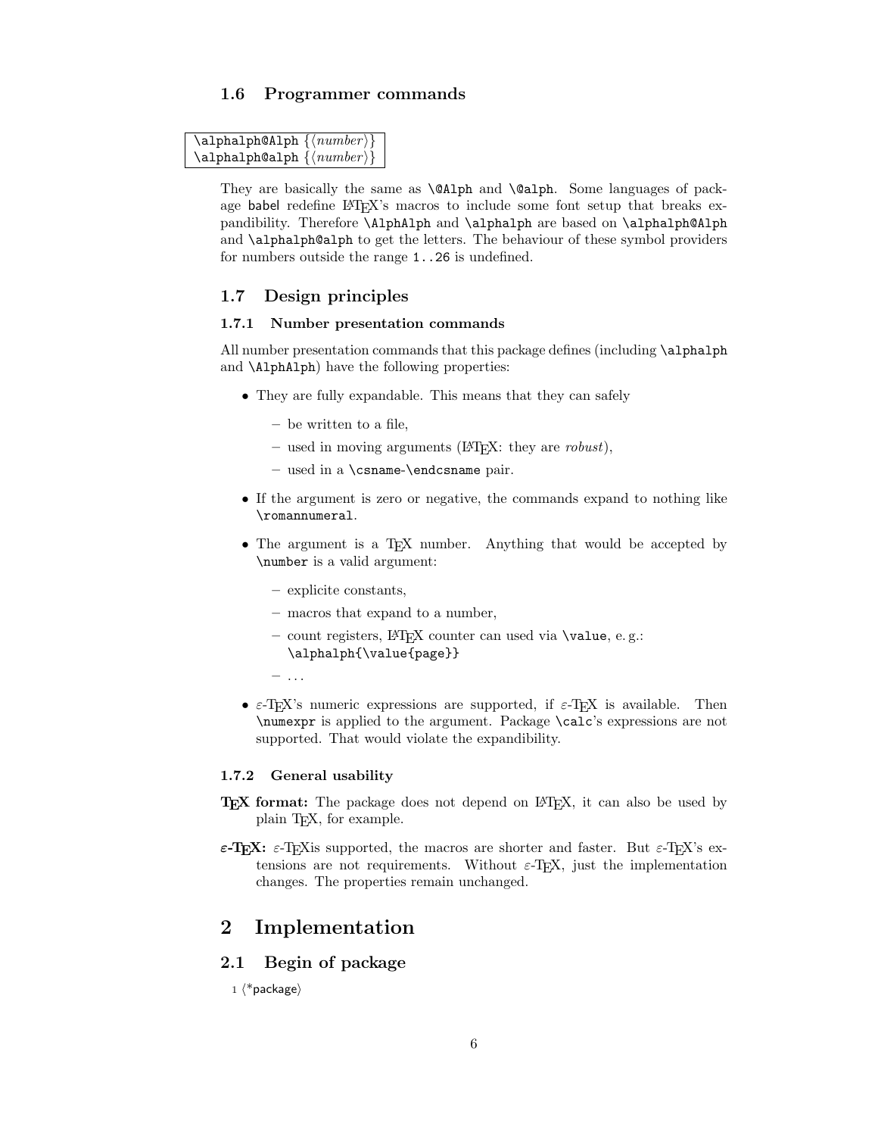# <span id="page-5-0"></span>1.6 Programmer commands

```
\verb|\alpha1ph@Alph {<|number⟩\}\alphalphalph@alph \{ \langle number \rangle \}
```
They are basically the same as \@Alph and \@alph. Some languages of package babel redefine LATEX's macros to include some font setup that breaks expandibility. Therefore \AlphAlph and \alphalph are based on \alphalph@Alph and \alphalph@alph to get the letters. The behaviour of these symbol providers for numbers outside the range 1..26 is undefined.

# <span id="page-5-1"></span>1.7 Design principles

#### <span id="page-5-2"></span>1.7.1 Number presentation commands

All number presentation commands that this package defines (including \alphalph and \AlphAlph) have the following properties:

- They are fully expandable. This means that they can safely
	- be written to a file,
	- used in moving arguments ( $\Delta T$ FX: they are *robust*),
	- used in a \csname-\endcsname pair.
- If the argument is zero or negative, the commands expand to nothing like \romannumeral.
- The argument is a T<sub>E</sub>X number. Anything that would be accepted by \number is a valid argument:
	- explicite constants,
	- macros that expand to a number,
	- $-$  count registers, LAT<sub>EX</sub> counter can used via  $\value$ , e.g.: \alphalph{\value{page}}

 $-$  ...

•  $\varepsilon$ -T<sub>E</sub>X's numeric expressions are supported, if  $\varepsilon$ -T<sub>E</sub>X is available. Then \numexpr is applied to the argument. Package \calc's expressions are not supported. That would violate the expandibility.

#### <span id="page-5-3"></span>1.7.2 General usability

- TEX format: The package does not depend on LATEX, it can also be used by plain TEX, for example.
- ε-T<sub>E</sub>X: ε-T<sub>E</sub>X is supported, the macros are shorter and faster. But ε-T<sub>E</sub>X's extensions are not requirements. Without  $\varepsilon$ -T<sub>F</sub>X, just the implementation changes. The properties remain unchanged.

# <span id="page-5-4"></span>2 Implementation

# <span id="page-5-5"></span>2.1 Begin of package

 $1$   $\langle$ \*package $\rangle$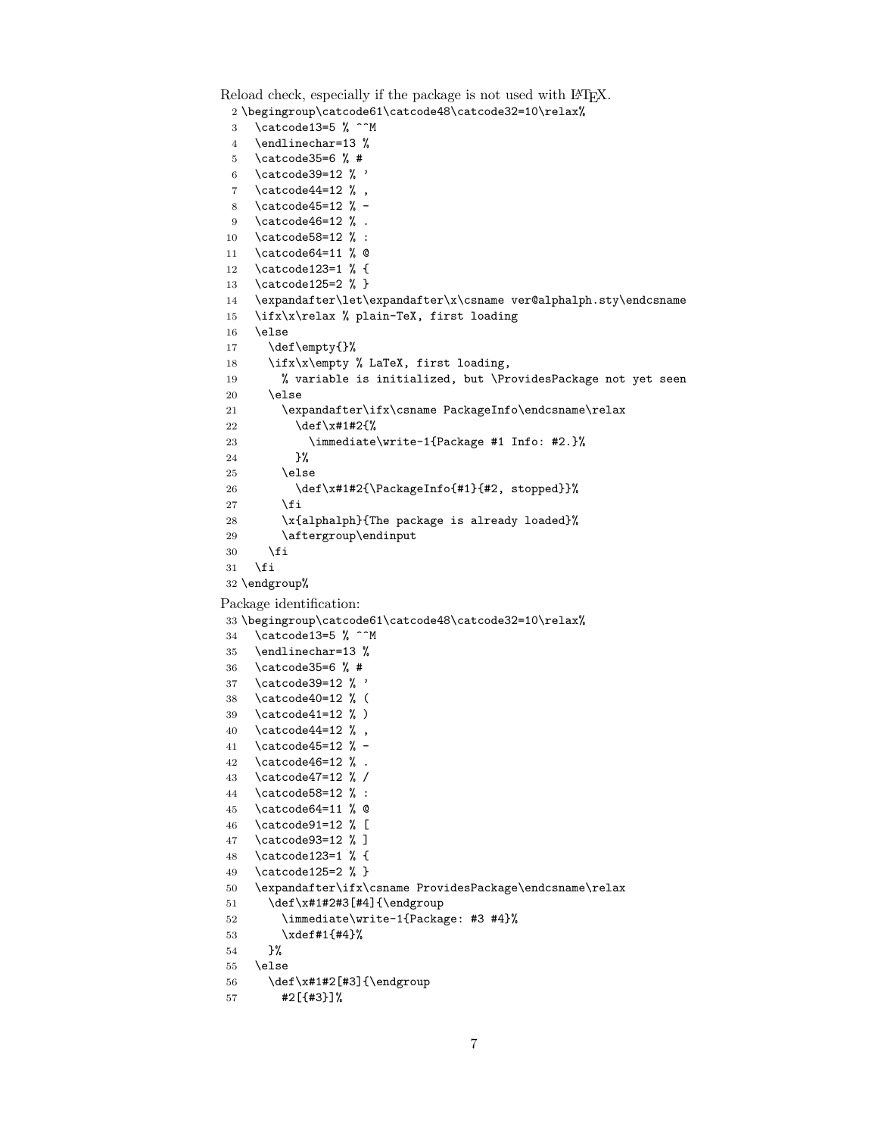```
Reload check, especially if the package is not used with LAT<sub>E</sub>X.
 2 \begingroup\catcode61\catcode48\catcode32=10\relax%
 3 \catcode13=5 % ^^M
 4 \endlinechar=13 %
 5 \catcode35=6 % #
 6 \ \ \ \ \ \ \ \ \ \ \39=12 % '
 7 \catcode44=12 %,
 8 \catcode45=12 % -
 9 \catcode46=12 % .
10 \catcode58=12 % :
11 \catcode64=11 % @
12 \catcode123=1 % {
13 \catcode125=2 % }
14 \expandafter\let\expandafter\x\csname ver@alphalph.sty\endcsname
15 \ifx\x\relax % plain-TeX, first loading
16 \else
17 \def\empty{}%
18 \ifx\x\empty % LaTeX, first loading,
19 % variable is initialized, but \ProvidesPackage not yet seen
20 \else
21 \expandafter\ifx\csname PackageInfo\endcsname\relax
22 \det\left\{x\#1\#2\{\% \right\}23 \immediate\write-1{Package #1 Info: #2.}%
24 }%
25 \else
26 \def\x#1#2{\PackageInfo{#1}{#2, stopped}}%
27 \qquad \qquad \fi
28 \x{alphalph}{The package is already loaded}%
29 \aftergroup\endinput
30 \fi
31 \foralli
32 \endgroup%
Package identification:
33 \begingroup\catcode61\catcode48\catcode32=10\relax%
34 \catcode13=5 % ^^M
35 \endlinechar=13 %
36 \catcode35=6 % #
37 \catcode39=12 % '
38 \catcode40=12 % (
39 \catcode41=12 % )
40 \catcode44=12 % ,
41 \catcode45=12 % -
42 \catcode46=12 % .
43 \catcode47=12 % /
44 \catcode58=12 % :
45 \catcode64=11 % @
46 \catcode91=12 % [
47 \catcode93=12 % ]
48 \catcode123=1 % {
49 \catcode125=2 % }
50 \expandafter\ifx\csname ProvidesPackage\endcsname\relax
51 \def\x#1#2#3[#4]{\endgroup
52 \immediate\write-1{Package: #3 #4}%
53 \xdef#1{#4}%
54 }%
55 \else
56 \def\x#1#2[#3]{\endgroup
57 #2[{#3}]%
```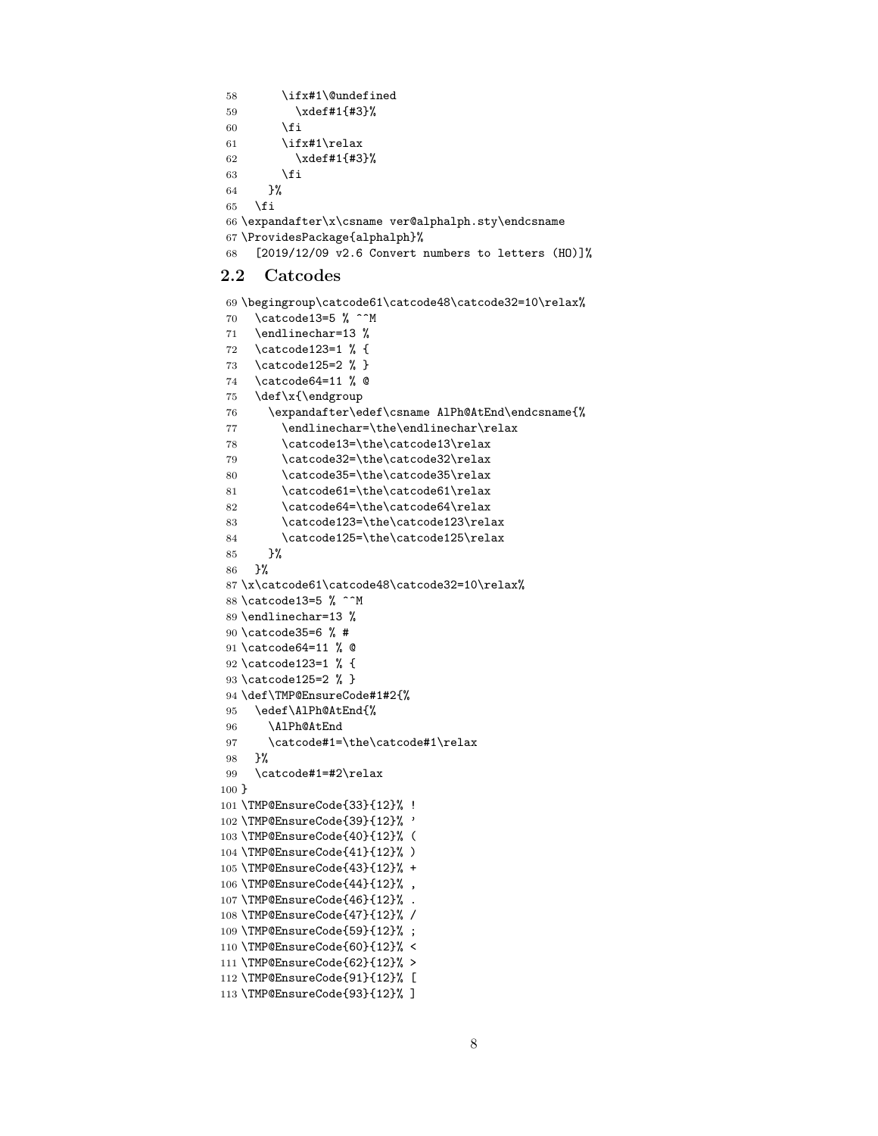```
58 \ifx#1\@undefined
59 \xdef#1{#3}%
60 \overline{\ } \}61 \ifx#1\relax
62 \xdef#1{#3}%
63 \fi
64 }%
65 \fi
66 \expandafter\x\csname ver@alphalph.sty\endcsname
67 \ProvidesPackage{alphalph}%
68 [2019/12/09 v2.6 Convert numbers to letters (HO)]%
```
#### <span id="page-7-30"></span><span id="page-7-24"></span><span id="page-7-0"></span>2.2 Catcodes

```
69 \begingroup\catcode61\catcode48\catcode32=10\relax%
70 \catcode13=5 % ^^M
71 \endlinechar=13 %
72 \catcode123=1 % {
73 \catcode125=2 % }
74 \catcode64=11 % @
75 \def\x{\endgroup
76 \expandafter\edef\csname AlPh@AtEnd\endcsname{%
77 \endlinechar=\the\endlinechar\relax
78 \catcode13=\the\catcode13\relax
79 \catcode32=\the\catcode32\relax
80 \catcode35=\the\catcode35\relax
81 \catcode61=\the\catcode61\relax
82 \catcode64=\the\catcode64\relax
83 \catcode123=\the\catcode123\relax
84 \catcode125=\the\catcode125\relax
85 }%
86 }%
87 \x\catcode61\catcode48\catcode32=10\relax%
88 \catcode13=5 % ^^M
89 \endlinechar=13 %
90 \catcode35=6 % #
91 \catcode64=11 % @
92 \catcode123=1 % {
93 \catcode125=2 % }
94 \def\TMP@EnsureCode#1#2{%
95 \edef\AlPh@AtEnd{%
96 \AlPh@AtEnd
97 \catcode#1=\the\catcode#1\relax
98 }%
99 \catcode#1=#2\relax
100 }
101 \TMP@EnsureCode{33}{12}% !
102 \TMP@EnsureCode{39}{12}% '
103 \TMP@EnsureCode{40}{12}% (
104 \TMP@EnsureCode{41}{12}% )
105 \TMP@EnsureCode{43}{12}% +
106 \TMP@EnsureCode{44}{12}% ,
107 \TMP@EnsureCode{46}{12}% .
108 \TMP@EnsureCode{47}{12}% /
109 \TMP@EnsureCode{59}{12}% ;
110 \TMP@EnsureCode{60}{12}% <
111 \TMP@EnsureCode{62}{12}% >
112 \TMP@EnsureCode{91}{12}% [
113 \TMP@EnsureCode{93}{12}% ]
```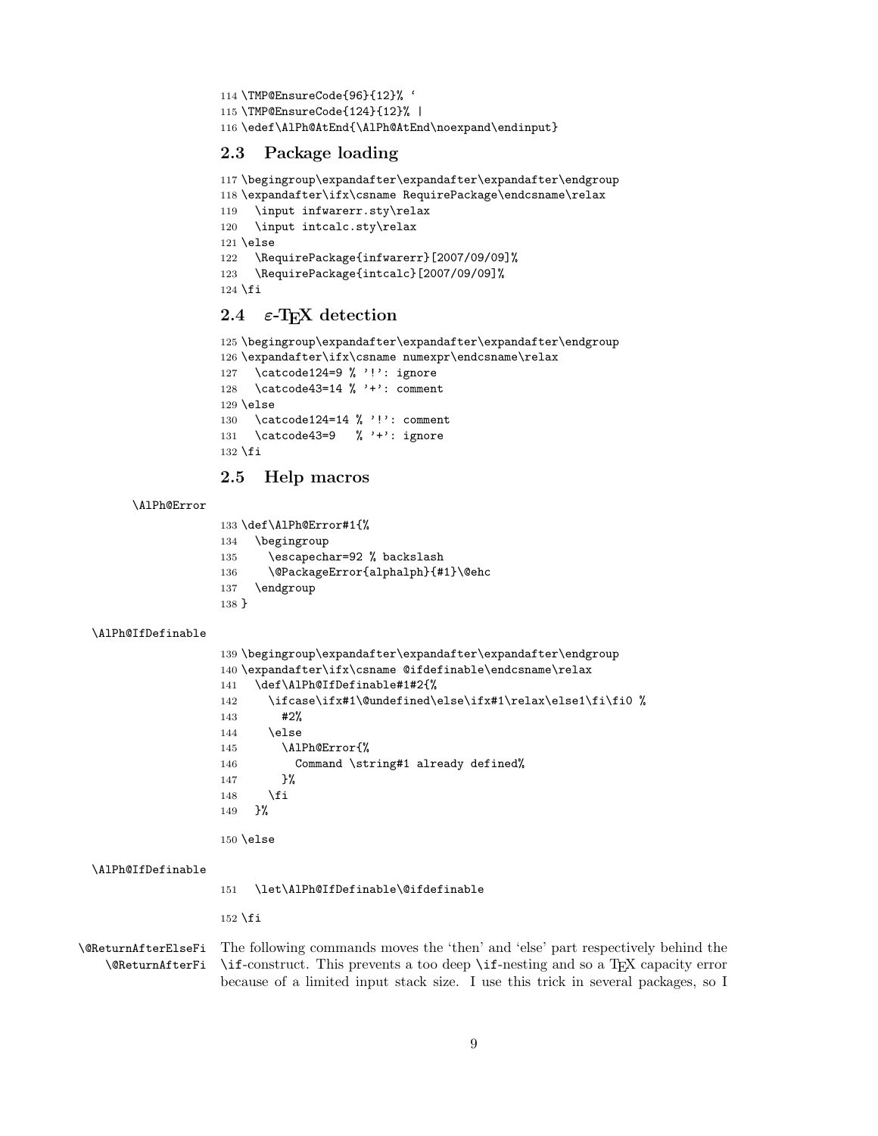```
114 \TMP@EnsureCode{96}{12}% '
115 \TMP@EnsureCode{124}{12}% |
116 \edef\AlPh@AtEnd{\AlPh@AtEnd\noexpand\endinput}
```
# <span id="page-8-8"></span><span id="page-8-0"></span>2.3 Package loading

```
117 \begingroup\expandafter\expandafter\expandafter\endgroup
118 \expandafter\ifx\csname RequirePackage\endcsname\relax
119 \input infwarerr.sty\relax
120 \input intcalc.sty\relax
121 \else
122 \RequirePackage{infwarerr}[2007/09/09]%
123 \RequirePackage{intcalc}[2007/09/09]%
124 \fi
```
# <span id="page-8-24"></span><span id="page-8-23"></span><span id="page-8-1"></span>2.4  $\varepsilon$ -T<sub>F</sub>X detection

```
125 \begingroup\expandafter\expandafter\expandafter\endgroup
126 \expandafter\ifx\csname numexpr\endcsname\relax
127 \catcode124=9 % '!': ignore
128 \catcode43=14 % '+': comment
129 \else
130 \catcode124=14 % '!': comment
131 \catcode43=9 % '+': ignore
132 \fi
```
# <span id="page-8-16"></span><span id="page-8-15"></span><span id="page-8-2"></span>2.5 Help macros

#### <span id="page-8-9"></span>\AlPh@Error

```
133 \def\AlPh@Error#1{%
134 \begingroup
135 \escapechar=92 % backslash
136 \@PackageError{alphalph}{#1}\@ehc
137 \endgroup
138 }
```
#### <span id="page-8-11"></span>\AlPh@IfDefinable

```
139 \begingroup\expandafter\expandafter\expandafter\endgroup
140 \expandafter\ifx\csname @ifdefinable\endcsname\relax
141 \def\AlPh@IfDefinable#1#2{%
142 \ifcase\ifx#1\@undefined\else\ifx#1\relax\else1\fi\fi0 %
143 #2%
144 \else
145 \AlPh@Error{%
146 Command \string#1 already defined%
147 }%
148 \fi
149 }%
```
## <span id="page-8-12"></span>\AlPh@IfDefinable

<span id="page-8-6"></span>\let\AlPh@IfDefinable\@ifdefinable

\fi

\else

<span id="page-8-5"></span><span id="page-8-4"></span>\@ReturnAfterElseFi The following commands moves the 'then' and 'else' part respectively behind the \@ReturnAfterFi \if-construct. This prevents a too deep \if-nesting and so a TEX capacity error because of a limited input stack size. I use this trick in several packages, so I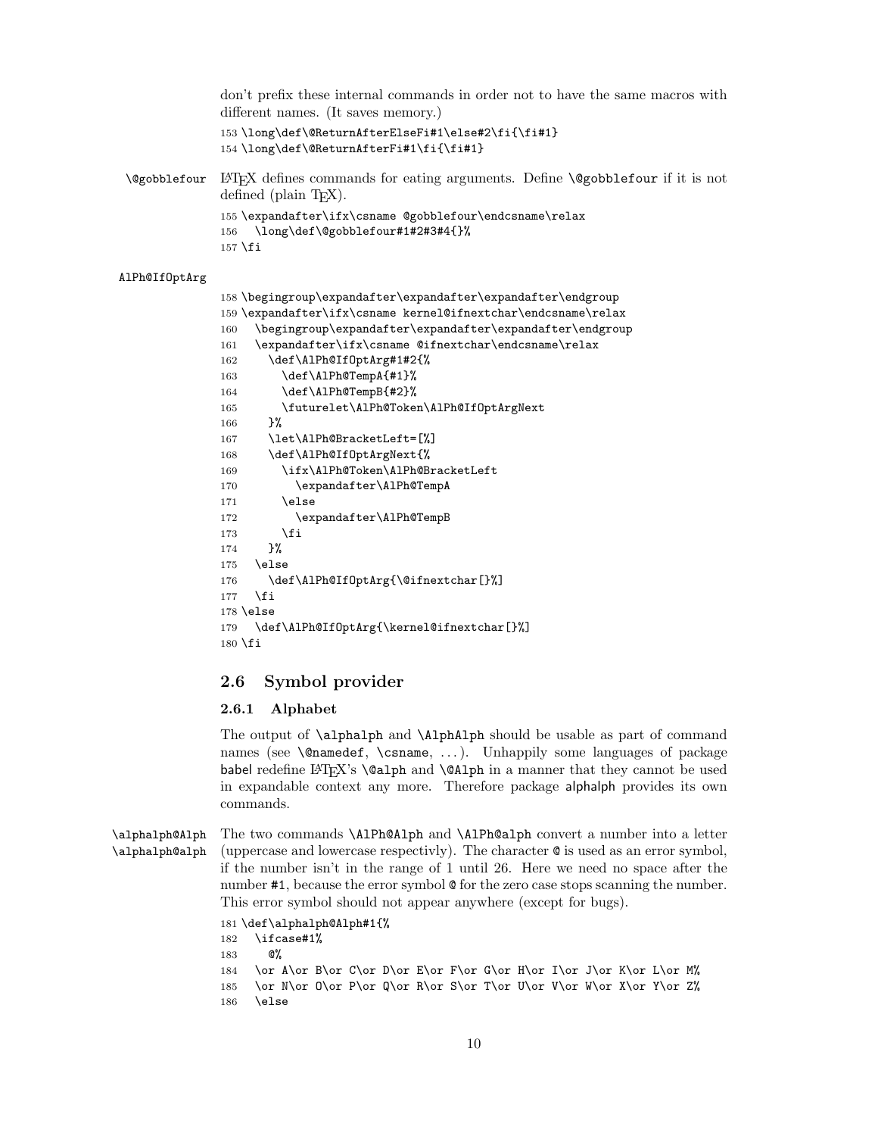don't prefix these internal commands in order not to have the same macros with different names. (It saves memory.)

```
153 \long\def\@ReturnAfterElseFi#1\else#2\fi{\fi#1}
154 \long\def\@ReturnAfterFi#1\fi{\fi#1}
```
<span id="page-9-2"></span>\@gobblefour LATEX defines commands for eating arguments. Define \@gobblefour if it is not defined (plain  $T<sub>F</sub><sub>X</sub>$ ). 155 \expandafter\ifx\csname @gobblefour\endcsname\relax

```
156 \long\def\@gobblefour#1#2#3#4{}%
157 \fi
```
#### <span id="page-9-6"></span>AlPh@IfOptArg

```
158 \begingroup\expandafter\expandafter\expandafter\endgroup
159 \expandafter\ifx\csname kernel@ifnextchar\endcsname\relax
160 \begingroup\expandafter\expandafter\expandafter\endgroup
161 \expandafter\ifx\csname @ifnextchar\endcsname\relax
162 \def\AlPh@IfOptArg#1#2{%
163 \def\AlPh@TempA{#1}%
164 \def\AlPh@TempB{#2}%
165 \futurelet\AlPh@Token\AlPh@IfOptArgNext
166 }%
167 \let\AlPh@BracketLeft=[%]
168 \def\AlPh@IfOptArgNext{%
169 \ifx\AlPh@Token\AlPh@BracketLeft
170 \expandafter\AlPh@TempA
171 \leq \leq \leq \leq \leq \leq \leq \leq \leq \leq \leq \leq \leq \leq \leq \leq \leq \leq \leq \leq \leq \leq \leq \leq \leq \leq \leq \leq \leq \leq \leq \leq \leq \leq \leq \leq172 \expandafter\AlPh@TempB
173 \fi
174 }%
175 \else
176 \def\AlPh@IfOptArg{\@ifnextchar[}%]
177 \fi
178 \else
179 \def\AlPh@IfOptArg{\kernel@ifnextchar[}%]
180 \text{ t}
```
# <span id="page-9-14"></span><span id="page-9-8"></span><span id="page-9-3"></span><span id="page-9-0"></span>2.6 Symbol provider

#### <span id="page-9-1"></span>2.6.1 Alphabet

The output of \alphalph and \AlphAlph should be usable as part of command names (see **\@namedef, \csname, ...**). Unhappily some languages of package babel redefine  $\mathbb{F}(\mathbb{F}_\mathbb{R}^X)$  \calph and \calph in a manner that they cannot be used in expandable context any more. Therefore package alphalph provides its own commands.

<span id="page-9-16"></span><span id="page-9-15"></span>\alphalph@Alph The two commands \AlPh@Alph and \AlPh@alph convert a number into a letter \alphalph@alph (uppercase and lowercase respectivly). The character @ is used as an error symbol, if the number isn't in the range of 1 until 26. Here we need no space after the number #1, because the error symbol  $\mathcal Q$  for the zero case stops scanning the number. This error symbol should not appear anywhere (except for bugs).

```
181 \def\alphalph@Alph#1{%
182 \ifcase#1%
183 @%
184 \or A\or B\or C\or D\or E\or F\or G\or H\or I\or J\or K\or L\or M%
185 \or N\or 0\or P\or Q\or R\or S\or T\or U\or V\or W\or X\or Y\or Z%
186 \else
```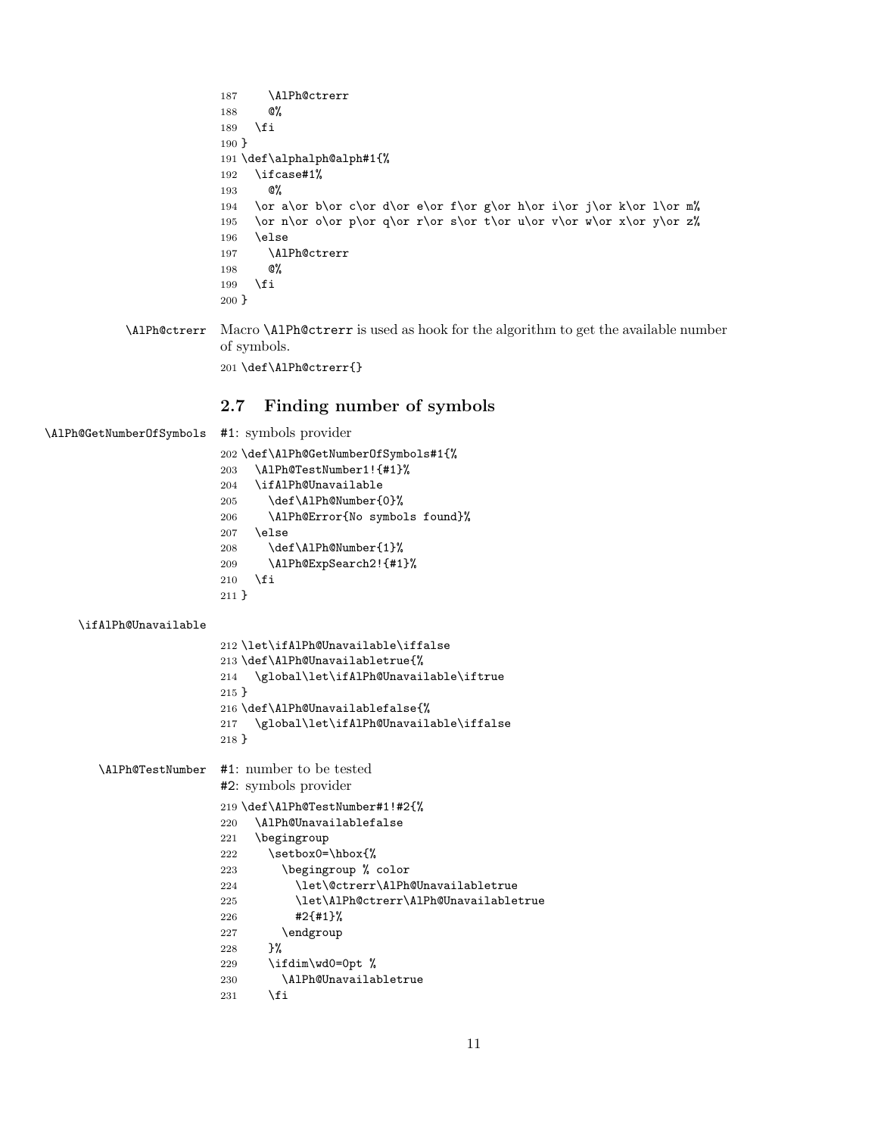```
187 \AlPh@ctrerr
188 @%
189 \fi
190 }
191 \def\alphalph@alph#1{%
192 \ifcase#1%
193 @%
194 \or a\or b\or c\or d\or e\or f\or g\or h\or i\or j\or k\or l\or m%
195 \or n\or o\or p\or q\or r\or s\or t\or u\or v\or w\or x\or y\or z%
196 \else
197 \AlPh@ctrerr
198 @%
199 \fi
200 }
```
<span id="page-10-4"></span><span id="page-10-3"></span>\AlPh@ctrerr Macro \AlPh@ctrerr is used as hook for the algorithm to get the available number of symbols. \def\AlPh@ctrerr{}

# <span id="page-10-24"></span><span id="page-10-23"></span><span id="page-10-22"></span><span id="page-10-21"></span><span id="page-10-18"></span><span id="page-10-17"></span><span id="page-10-15"></span><span id="page-10-14"></span><span id="page-10-13"></span><span id="page-10-11"></span><span id="page-10-10"></span><span id="page-10-9"></span><span id="page-10-7"></span><span id="page-10-6"></span><span id="page-10-5"></span><span id="page-10-1"></span><span id="page-10-0"></span>2.7 Finding number of symbols

```
\AlPh@GetNumberOfSymbols #1: symbols provider
                         202 \def\AlPh@GetNumberOfSymbols#1{%
                         203 \AlPh@TestNumber1!{#1}%
                         204 \ifAlPh@Unavailable
                         205 \def\AlPh@Number{0}%
                         206 \AlPh@Error{No symbols found}%
                         207 \else
                         208 \def\AlPh@Number{1}%
                         209 \AlPh@ExpSearch2!{#1}%
                         210 \overline{10}211 }
    \ifAlPh@Unavailable
                         212 \let\ifAlPh@Unavailable\iffalse
                         213 \def\AlPh@Unavailabletrue{%
                         214 \global\let\ifAlPh@Unavailable\iftrue
                         215 }
                         216 \def\AlPh@Unavailablefalse{%
                         217 \global\let\ifAlPh@Unavailable\iffalse
                         218 }
       \AlPh@TestNumber #1: number to be tested
                         #2: symbols provider
                         219 \def\AlPh@TestNumber#1!#2{%
                         220 \AlPh@Unavailablefalse
                         221 \begingroup
                         222 \setbox0=\hbox{%
                         223 \begingroup % color
                         224 \let\@ctrerr\AlPh@Unavailabletrue
                         225 \let\AlPh@ctrerr\AlPh@Unavailabletrue
                         226 #2{#1}%
                         227 \endgroup
                         228 }%
                         229 \ifdim\wd0=0pt %
                         230 \AlPh@Unavailabletrue
                         231 \overrightarrow{fi}
```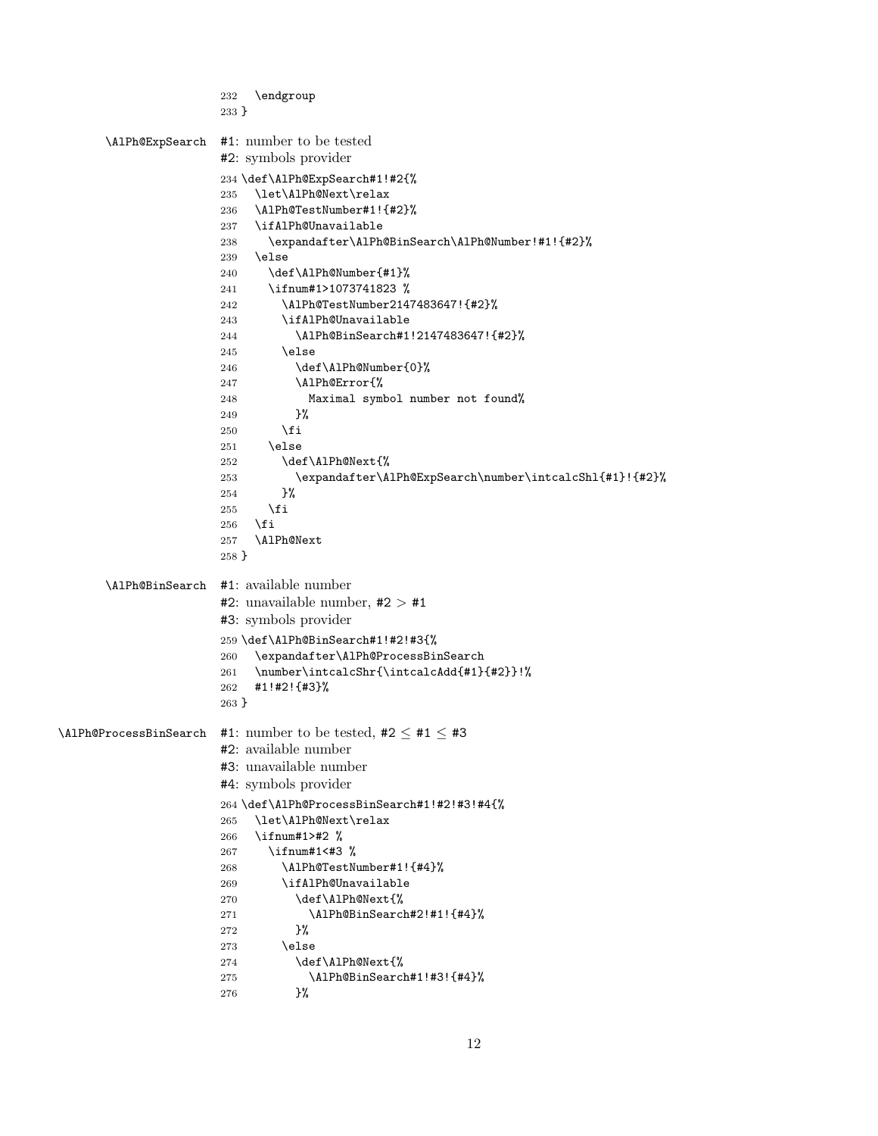```
232 \endgroup
                      233 }
      \AlPh@ExpSearch #1: number to be tested
                      #2: symbols provider
                      234 \def\AlPh@ExpSearch#1!#2{%
                      235 \let\AlPh@Next\relax
                      236 \AlPh@TestNumber#1!{#2}%
                      237 \ifAlPh@Unavailable
                      238 \expandafter\AlPh@BinSearch\AlPh@Number!#1!{#2}%
                      239 \else
                      240 \def\AlPh@Number{#1}%
                      241 \ifnum#1>1073741823 %
                      242 \AlPh@TestNumber2147483647!{#2}%
                      243 \ifAlPh@Unavailable
                      244 \AlPh@BinSearch#1!2147483647!{#2}%
                      245 \else
                      246 \def\AlPh@Number{0}%
                      247 \AlPh@Error{%
                      248 Maximal symbol number not found%
                      249 \frac{1}{2}250 \overrightarrow{fi}251 \else
                      252 \def\AlPh@Next{%
                      253 \expandafter\AlPh@ExpSearch\number\intcalcShl{#1}!{#2}%
                      254 }%
                      255 \overrightarrow{fi}256 \fi
                      257 \AlPh@Next
                      258 }
      \AlPh@BinSearch #1: available number
                      #2: unavailable number, #2 > #1#3: symbols provider
                      259 \def\AlPh@BinSearch#1!#2!#3{%
                      260 \expandafter\AlPh@ProcessBinSearch
                      261 \number\intcalcShr{\intcalcAdd{#1}{#2}}!%
                      262 #1!#2!{#3}%
                      263 }
\LambdaPh@ProcessBinSearch #1: number to be tested, #2 \leq #1 \leq #3
                      #2: available number
                      #3: unavailable number
                      #4: symbols provider
                      264 \def\AlPh@ProcessBinSearch#1!#2!#3!#4{%
                      265 \let\AlPh@Next\relax
                      266 \ifnum#1>#2 %
                      267 \ifnum#1<#3 %
                      268 \AlPh@TestNumber#1!{#4}%
                      269 \ifAlPh@Unavailable
                      270 \def\AlPh@Next{%
                      271 \AlPh@BinSearch#2!#1!\{#4}%<br>272 }%
                      272
                      273 \else
                      274 \def\AlPh@Next{%
                      275 \AlPh@BinSearch#1!#3!{#4}%
                      276 }%
```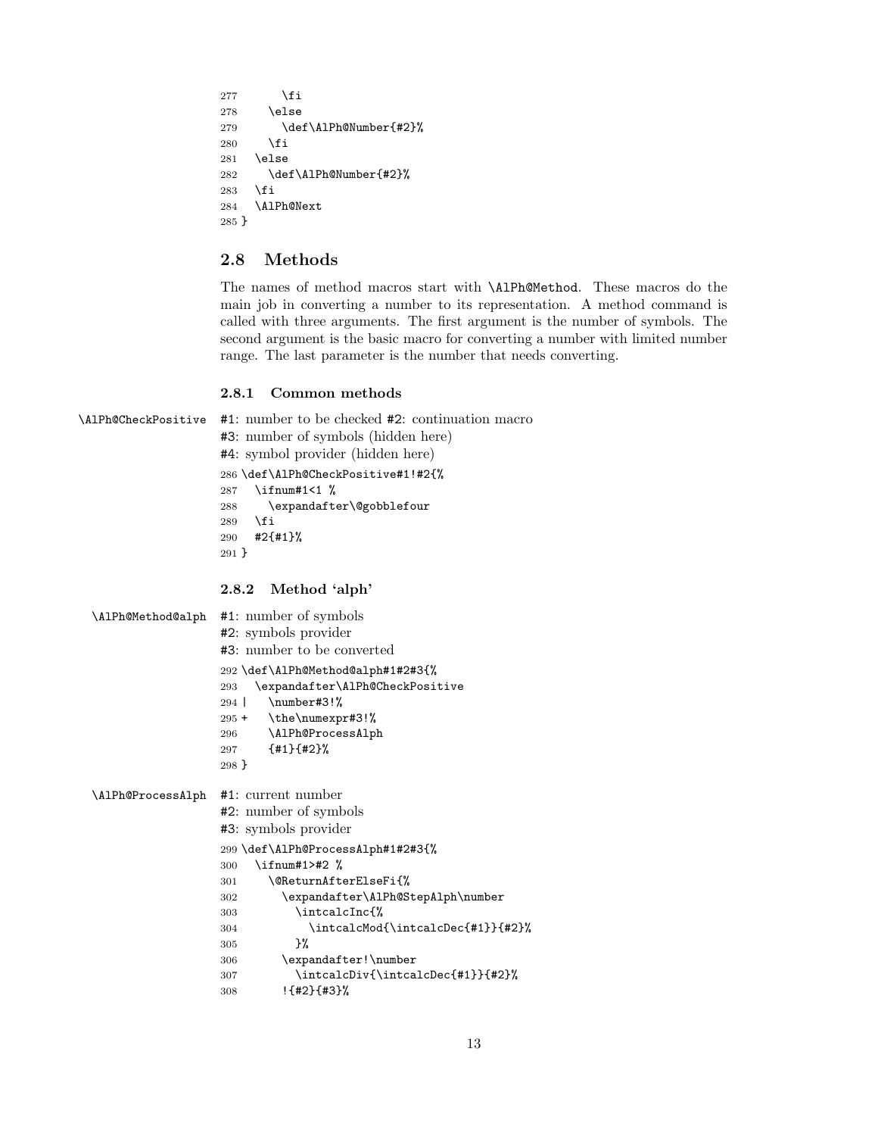```
277 \fi
278 \text{hsa}279 \def\AlPh@Number{#2}%
280 \fi
281 \else
282 \def\AlPh@Number{#2}%
283 \fi
284 \AlPh@Next
285 }
```
# <span id="page-12-8"></span><span id="page-12-0"></span>2.8 Methods

The names of method macros start with \AlPh@Method. These macros do the main job in converting a number to its representation. A method command is called with three arguments. The first argument is the number of symbols. The second argument is the basic macro for converting a number with limited number range. The last parameter is the number that needs converting.

#### <span id="page-12-14"></span><span id="page-12-4"></span><span id="page-12-2"></span><span id="page-12-1"></span>2.8.1 Common methods

```
\AlPh@CheckPositive #1: number to be checked #2: continuation macro
                    #3: number of symbols (hidden here)
                    #4: symbol provider (hidden here)
                    286 \def\AlPh@CheckPositive#1!#2{%
                    287 \ifnum#1<1 %
                    288 \expandafter\@gobblefour
                    289 \fi
                    290 #2{#1}%
                    291 }
                    2.8.2 Method 'alph'
 \AlPh@Method@alph #1: number of symbols
                    #2: symbols provider
                    #3: number to be converted
                    292 \def\AlPh@Method@alph#1#2#3{%
                    293 \expandafter\AlPh@CheckPositive
                    294 | \number#3!%
                    295 + \the\numexpr#3!%
                    296 \AlPh@ProcessAlph
                    297 {#1}{#2}%
                    298 }
 \AlPh@ProcessAlph #1: current number
                    #2: number of symbols
                    #3: symbols provider
                    299 \def\AlPh@ProcessAlph#1#2#3{%
                    300 \ifnum#1>#2 %
                    301 \@ReturnAfterElseFi{%
                    302 \expandafter\AlPh@StepAlph\number
                    303 \intcalcInc{%
                    304 \intcalcMod{\intcalcDec{#1}}{#2}%
                    305 }%
```
<span id="page-12-21"></span><span id="page-12-20"></span><span id="page-12-19"></span><span id="page-12-18"></span><span id="page-12-16"></span><span id="page-12-15"></span><span id="page-12-13"></span><span id="page-12-12"></span><span id="page-12-11"></span><span id="page-12-6"></span><span id="page-12-3"></span>\expandafter!\number

!{#2}{#3}%

<span id="page-12-17"></span>\intcalcDiv{\intcalcDec{#1}}{#2}%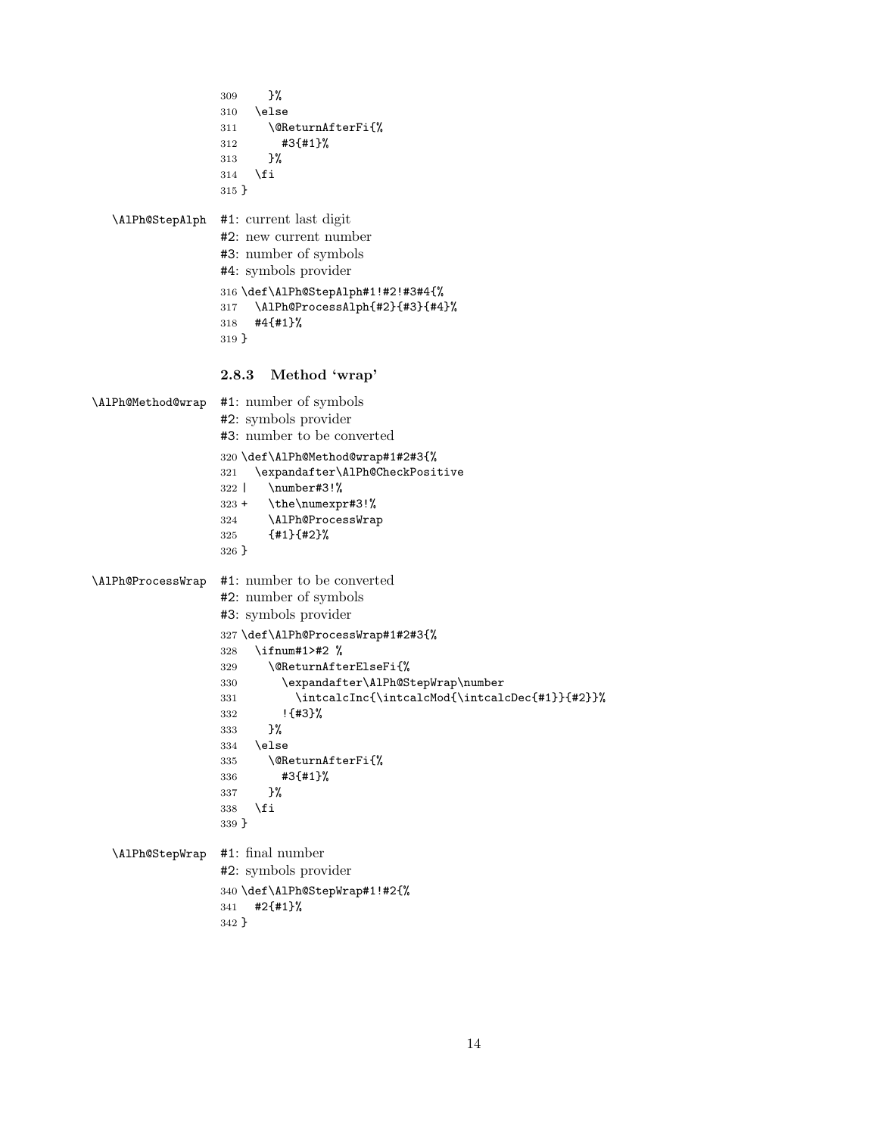```
309 }%
                  310 \else
                  311 \@ReturnAfterFi{%
                  312 #3{#1}%
                  313 }%
                  314 \fi
                  315 }
  \AlPh@StepAlph #1: current last digit
                  #2: new current number
                  #3: number of symbols
                  #4: symbols provider
                  316 \def\AlPh@StepAlph#1!#2!#3#4{%
                  317 \AlPh@ProcessAlph{#2}{#3}{#4}%
                  318 #4{#1}%
                  319 }
                  2.8.3 Method 'wrap'
\AlPh@Method@wrap #1: number of symbols
                  #2: symbols provider
                  #3: number to be converted
                  320 \def\AlPh@Method@wrap#1#2#3{%
                  321 \expandafter\AlPh@CheckPositive
                  322 | \number#3!%
                  323 + \the\numexpr#3!%
                  324 \AlPh@ProcessWrap
                  325 {#1}{#2}%
                  326 }
\AlPh@ProcessWrap #1: number to be converted
                  #2: number of symbols
                  #3: symbols provider
                  327 \def\AlPh@ProcessWrap#1#2#3{%
                  328 \ifnum#1>#2 %
                  329 \@ReturnAfterElseFi{%
                  330 \expandafter\AlPh@StepWrap\number
                  331 \intcalcInc{\intcalcMod{\intcalcDec{#1}}{#2}}%
                  332 !{#3}%
                  333 }%
                  334 \else
                  335 \@ReturnAfterFi{%
                  336 #3{#1}%
                  337 }%
                  338 \fi
                  339 }
  \AlPh@StepWrap #1: final number
                  #2: symbols provider
                  340 \def\AlPh@StepWrap#1!#2{%
                  341 #2{#1}%
                  342 }
```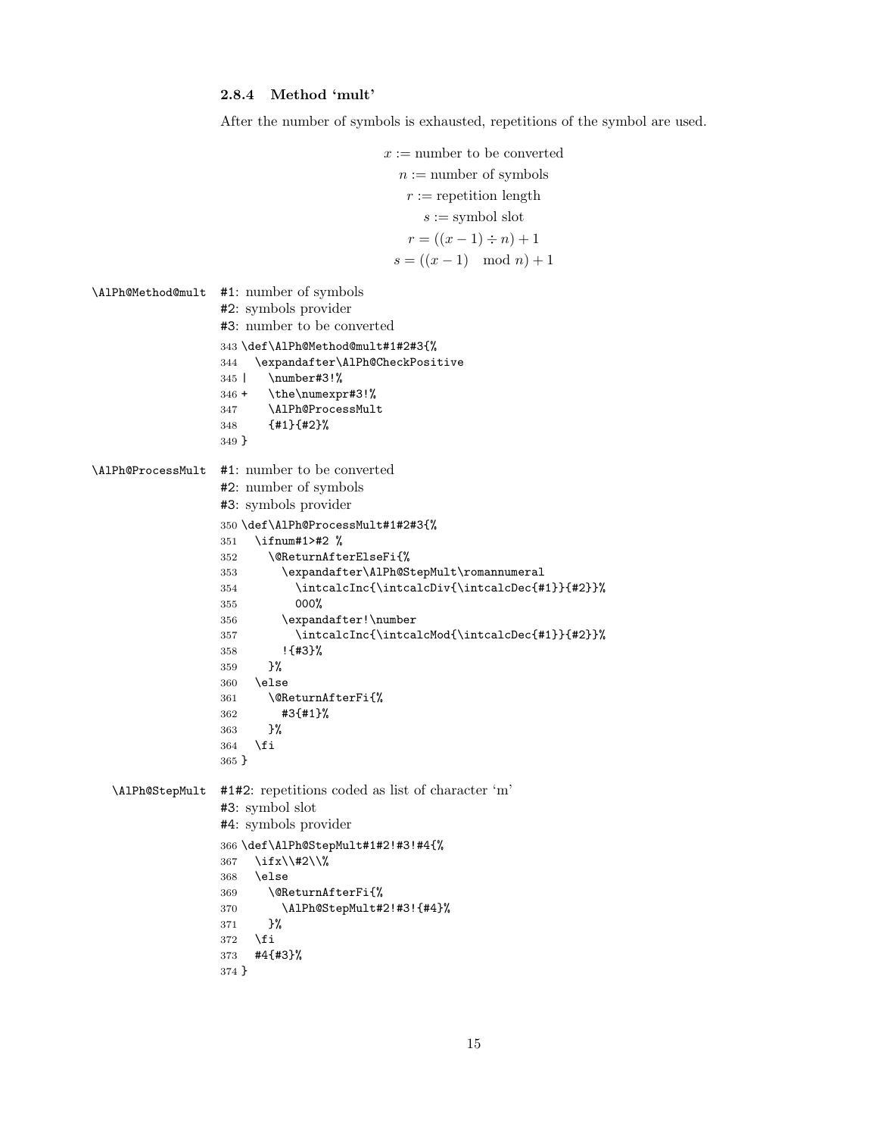<span id="page-14-16"></span><span id="page-14-14"></span><span id="page-14-5"></span><span id="page-14-0"></span>After the number of symbols is exhausted, repetitions of the symbol are used.

```
x := number to be converted
                                           n := number of symbols
                                            r := repetition length
                                               s :=symbol slot
                                            r = ((x - 1) \div n) + 1s = ((x - 1) \mod n) + 1\AlPh@Method@mult #1: number of symbols
                  #2: symbols provider
                  #3: number to be converted
                  343 \def\AlPh@Method@mult#1#2#3{%
                  344 \expandafter\AlPh@CheckPositive
                  345 | \number#3!%
                  346 + \the\numexpr#3!%
                  347 \AlPh@ProcessMult
                  348 {#1}{#2}%
                  349 }
\AlPh@ProcessMult #1: number to be converted
                  #2: number of symbols
                  #3: symbols provider
                  350 \def\AlPh@ProcessMult#1#2#3{%
                  351 \ifnum#1>#2 %
                  352 \@ReturnAfterElseFi{%
                  353 \expandafter\AlPh@StepMult\romannumeral
                  354 \intcalcInc{\intcalcDiv{\intcalcDec{#1}}{#2}}%
                  355 000%
                  356 \expandafter!\number
                  357 \intcalcInc{\intcalcMod{\intcalcDec{#1}}{#2}}%
                  358 !{#3}%
                  359 }%
                  360 \else
                  361 \@ReturnAfterFi{%
                  362 #3{#1}%
                  363 }%
                  364 \fi
                  365 }
  \AlPh@StepMult #1#2: repetitions coded as list of character 'm'
                  #3: symbol slot
                  #4: symbols provider
                  366 \def\AlPh@StepMult#1#2!#3!#4{%
                  367 \ifx\\#2\\%
                  368 \else
                  369 \@ReturnAfterFi{%
                  370 \AlPh@StepMult#2!#3!{#4}%
                  371 }%
                  372 \fi
                  373 #4{#3}%
                  374 }
```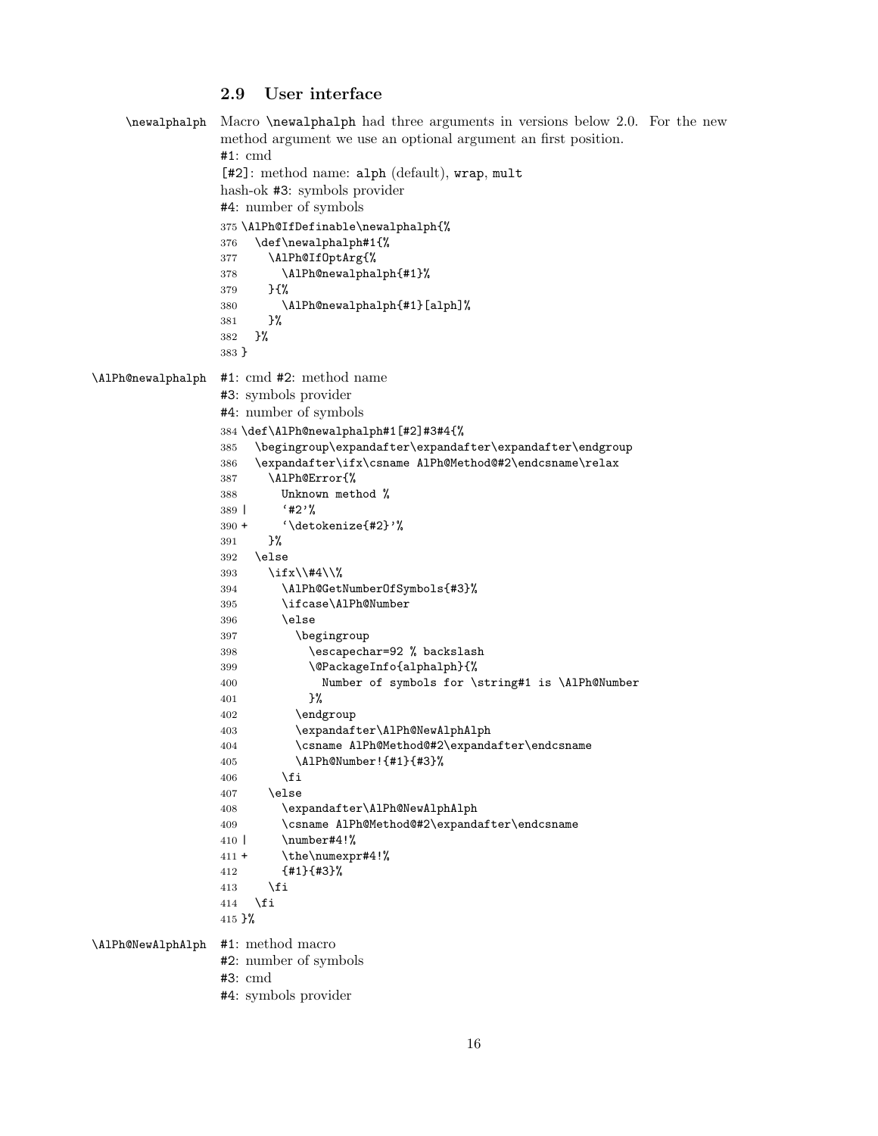#### <span id="page-15-11"></span><span id="page-15-10"></span><span id="page-15-6"></span><span id="page-15-5"></span><span id="page-15-0"></span>2.9 User interface

```
\newalphalph Macro \newalphalph had three arguments in versions below 2.0. For the new
                 method argument we use an optional argument an first position.
                 #1: cmd
                 [#2]: method name: alph (default), wrap, mult
                 hash-ok #3: symbols provider
                 #4: number of symbols
                 375 \AlPh@IfDefinable\newalphalph{%
                 376 \def\newalphalph#1{%
                 377 \AlPh@IfOptArg{%
                 378 \AlPh@newalphalph{#1}%
                 379 }{%
                 380 \AlPh@newalphalph{#1}[alph]%
                 381 }%
                 382 }%
                 383 }
\AlPh@newalphalph #1: cmd #2: method name
                 #3: symbols provider
                 #4: number of symbols
                 384 \def\AlPh@newalphalph#1[#2]#3#4{%
                 385 \begingroup\expandafter\expandafter\expandafter\endgroup
                 386 \expandafter\ifx\csname AlPh@Method@#2\endcsname\relax
                 387 \AlPh@Error{%
                 388 Unknown method %
                 389 | '#2'%
                 390 + '\detokenize{#2}'%
                 391 }%
                 392 \else
                 393 \ifx\\#4\\%
                 394 \AlPh@GetNumberOfSymbols{#3}%
                 395 \ifcase\AlPh@Number
                 396 \else
                 397 \begingroup
                 398 \escapechar=92 % backslash
                 399 \@PackageInfo{alphalph}{%
                 400 Number of symbols for \string#1 is \AlPh@Number
                 401 }%
                 402 \endgroup
                 403 \expandafter\AlPh@NewAlphAlph
                 404 \csname AlPh@Method@#2\expandafter\endcsname
                 405 \AlPh@Number!{#1}{#3}%
                 406 \fi
                 407 \else
                 408 \expandafter\AlPh@NewAlphAlph
                 409 \csname AlPh@Method@#2\expandafter\endcsname
                 410 | \number#4!%
                 411 + \the\numexpr#4!%
                 412 {#1}{#3}%
                 413 \setminusfi
                 414 \fi
                 415 }%
\AlPh@NewAlphAlph #1: method macro
                 #2: number of symbols
                 #3: cmd
                 #4: symbols provider
```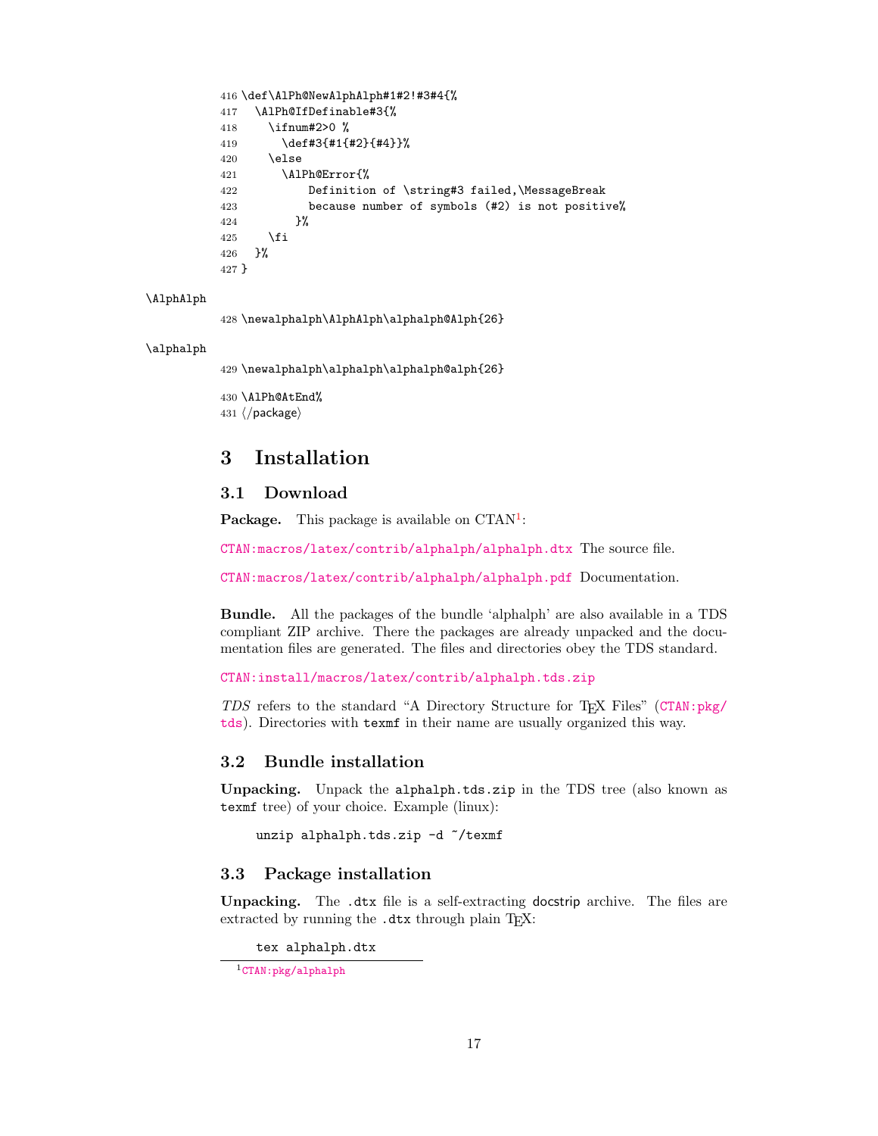```
416 \def\AlPh@NewAlphAlph#1#2!#3#4{%
417 \AlPh@IfDefinable#3{%
418 \ifnum#2>0 %
419 \def#3{#1{#2}{#4}}%
420 \else
421 \AlPh@Error{%
422 Definition of \string#3 failed,\MessageBreak
423 because number of symbols (#2) is not positive%
424 }%
425 \fi
426 }%
427 }
```
#### <span id="page-16-8"></span>\AlphAlph

<span id="page-16-10"></span>428 \newalphalph\AlphAlph\alphalph@Alph{26}

#### <span id="page-16-9"></span>\alphalph

<span id="page-16-11"></span>429 \newalphalph\alphalph\alphalph@alph{26}

```
430 \AlPh@AtEnd%
431 \langle/package\rangle
```
# <span id="page-16-0"></span>3 Installation

### <span id="page-16-1"></span>3.1 Download

**Package.** This package is available on  $CTAN^1$  $CTAN^1$ :

[CTAN:macros/latex/contrib/alphalph/alphalph.dtx](https://ctan.org/tex-archive/macros/latex/contrib/alphalph/alphalph.dtx) The source file.

[CTAN:macros/latex/contrib/alphalph/alphalph.pdf](https://ctan.org/tex-archive/macros/latex/contrib/alphalph/alphalph.pdf) Documentation.

Bundle. All the packages of the bundle 'alphalph' are also available in a TDS compliant ZIP archive. There the packages are already unpacked and the documentation files are generated. The files and directories obey the TDS standard.

[CTAN:install/macros/latex/contrib/alphalph.tds.zip](http://mirrors.ctan.org/install/macros/latex/contrib/alphalph.tds.zip)

TDS refers to the standard "A Directory Structure for TEX Files" ([CTAN:pkg/](http://ctan.org/pkg/tds) [tds](http://ctan.org/pkg/tds)). Directories with texmf in their name are usually organized this way.

#### <span id="page-16-2"></span>3.2 Bundle installation

Unpacking. Unpack the alphalph.tds.zip in the TDS tree (also known as texmf tree) of your choice. Example (linux):

unzip alphalph.tds.zip -d "/texmf

#### <span id="page-16-3"></span>3.3 Package installation

Unpacking. The .dtx file is a self-extracting docstrip archive. The files are extracted by running the .dtx through plain TFX:

tex alphalph.dtx

<span id="page-16-4"></span> $\rm ^1$  CTAN : pkg/alphalph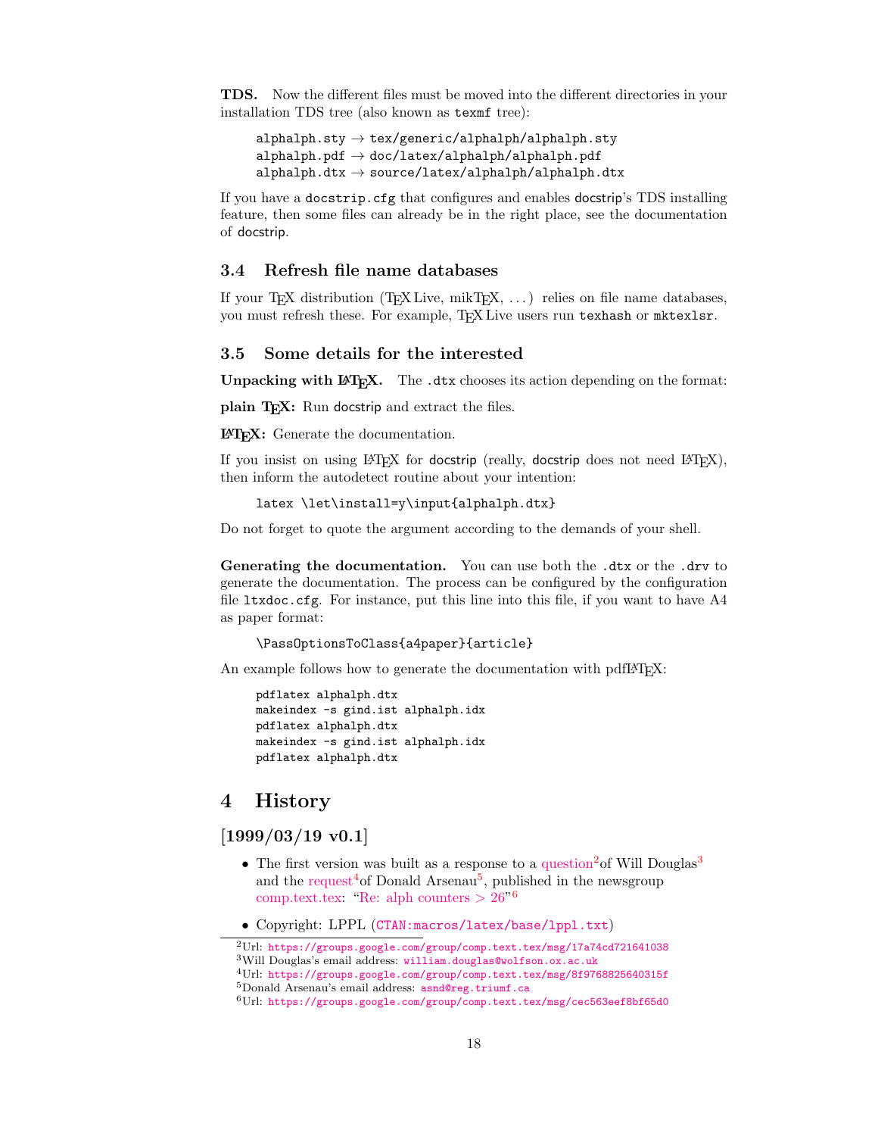TDS. Now the different files must be moved into the different directories in your installation TDS tree (also known as texmf tree):

```
alpha1ph.sty \rightarrow tex/generic/alphalph/alphalph.sty
alpha1ph.pdf \rightarrow doc/lates/alpha1phalph/alpha1ph.pdfalpha1ph.dtx \rightarrow source/lates/alpha1phalph/alpha1ph.dtx
```
If you have a docstrip.cfg that configures and enables docstrip's TDS installing feature, then some files can already be in the right place, see the documentation of docstrip.

### <span id="page-17-0"></span>3.4 Refresh file name databases

If your T<sub>E</sub>X distribution  $(TEX\text{ Live}, \text{mikTrX}, \ldots)$  relies on file name databases, you must refresh these. For example, TEX Live users run texhash or mktexlsr.

#### <span id="page-17-1"></span>3.5 Some details for the interested

**Unpacking with LATEX.** The  $\cdot$  dtx chooses its action depending on the format:

plain T<sub>E</sub>X: Run docstrip and extract the files.

LATEX: Generate the documentation.

If you insist on using  $L^2T_FX$  for docstrip (really, docstrip does not need  $L^2T_FX$ ), then inform the autodetect routine about your intention:

```
latex \let\install=y\input{alphalph.dtx}
```
Do not forget to quote the argument according to the demands of your shell.

Generating the documentation. You can use both the .dtx or the .drv to generate the documentation. The process can be configured by the configuration file ltxdoc.cfg. For instance, put this line into this file, if you want to have A4 as paper format:

```
\PassOptionsToClass{a4paper}{article}
```
An example follows how to generate the documentation with pdfL<sup>AT</sup>FX:

```
pdflatex alphalph.dtx
makeindex -s gind.ist alphalph.idx
pdflatex alphalph.dtx
makeindex -s gind.ist alphalph.idx
pdflatex alphalph.dtx
```
# <span id="page-17-2"></span>4 History

<span id="page-17-3"></span> $[1999/03/19 \text{ v}0.1]$ 

- The first version was built as a response to a [question](https://groups.google.com/group/comp.text.tex/msg/17a74cd721641038)<sup>[2](#page-17-4)</sup> of Will Douglas<sup>[3](#page-17-5)</sup> and the [request](https://groups.google.com/group/comp.text.tex/msg/8f9768825640315f)<sup>[4](#page-17-6)</sup> of Donald Arsenau<sup>[5](#page-17-7)</sup>, published in the newsgroup [comp.text.tex:](news:comp.text.tex) ["Re: alph counters](https://groups.google.com/group/comp.text.tex/msg/cec563eef8bf65d0)  $> 26$  $> 26$ "<sup>6</sup>
- Copyright: LPPL ([CTAN:macros/latex/base/lppl.txt](https://ctan.org/tex-archive/macros/latex/base/lppl.txt))

<span id="page-17-5"></span><span id="page-17-4"></span><sup>2</sup>Url: <https://groups.google.com/group/comp.text.tex/msg/17a74cd721641038> <sup>3</sup>Will Douglas's email address: [william.douglas@wolfson.ox.ac.uk](mailto:william.douglas@wolfson.ox.ac.uk)

<span id="page-17-7"></span><span id="page-17-6"></span><sup>4</sup>Url: <https://groups.google.com/group/comp.text.tex/msg/8f9768825640315f> <sup>5</sup>Donald Arsenau's email address: [asnd@reg.triumf.ca](mailto:asnd@reg.triumf.ca)

<span id="page-17-8"></span> $^{6}$ Url: <https://groups.google.com/group/comp.text.tex/msg/cec563eef8bf65d0>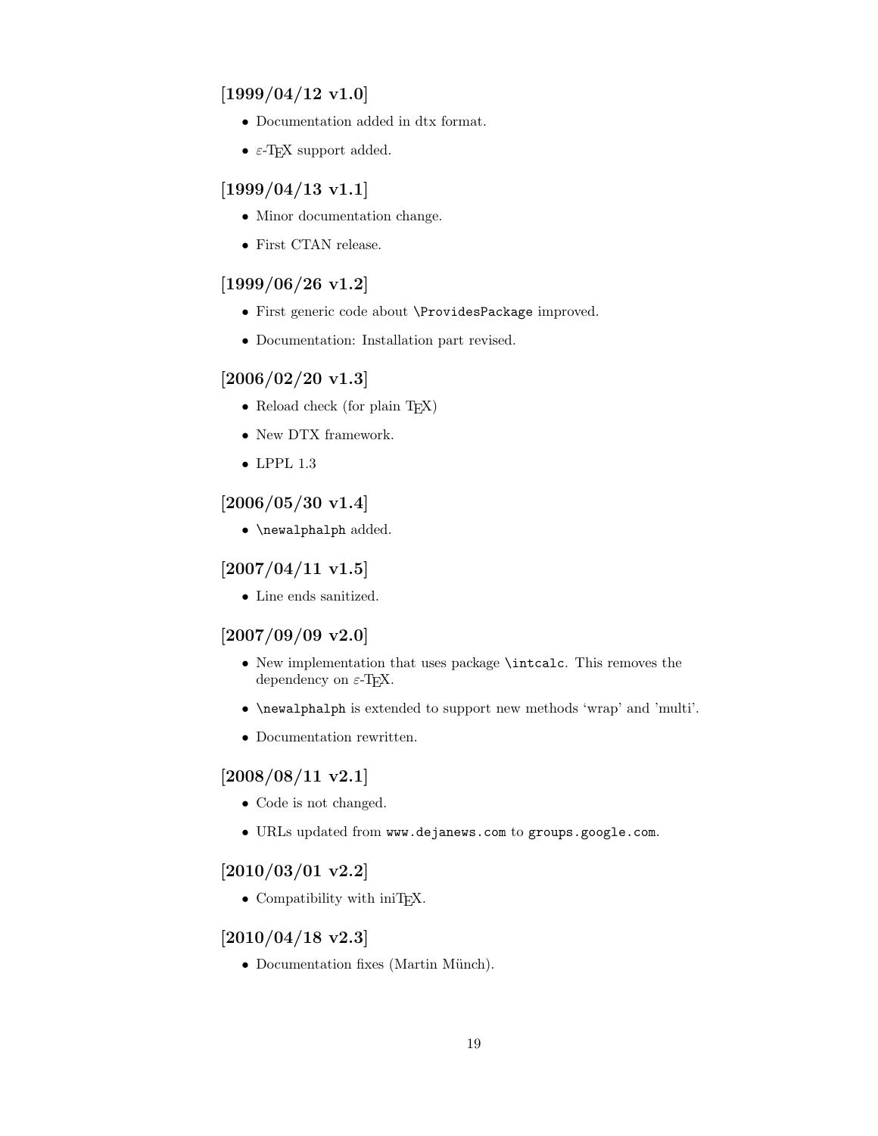# <span id="page-18-0"></span> $[1999/04/12 \text{ v}1.0]$

- Documentation added in dtx format.
- $\varepsilon$ -T<sub>E</sub>X support added.

# <span id="page-18-1"></span> $[1999/04/13 \text{ v}1.1]$

- Minor documentation change.
- First CTAN release.

# <span id="page-18-2"></span>[1999/06/26 v1.2]

- First generic code about \ProvidesPackage improved.
- Documentation: Installation part revised.

# <span id="page-18-3"></span>[2006/02/20 v1.3]

- Reload check (for plain T<sub>EX</sub>)
- New DTX framework.
- LPPL 1.3

# <span id="page-18-4"></span>[2006/05/30 v1.4]

• \newalphalph added.

# <span id="page-18-5"></span> $[2007/04/11 \text{ v}1.5]$

• Line ends sanitized.

# <span id="page-18-6"></span>[2007/09/09 v2.0]

- New implementation that uses package \intcalc. This removes the dependency on  $\varepsilon$ -T<sub>F</sub>X.
- \newalphalph is extended to support new methods 'wrap' and 'multi'.
- Documentation rewritten.

# <span id="page-18-7"></span> $[2008/08/11 \text{ v}2.1]$

- Code is not changed.
- URLs updated from www.dejanews.com to groups.google.com.

# <span id="page-18-8"></span>[2010/03/01 v2.2]

• Compatibility with iniTEX.

# <span id="page-18-9"></span> $[2010/04/18 \text{ v}2.3]$

• Documentation fixes (Martin Münch).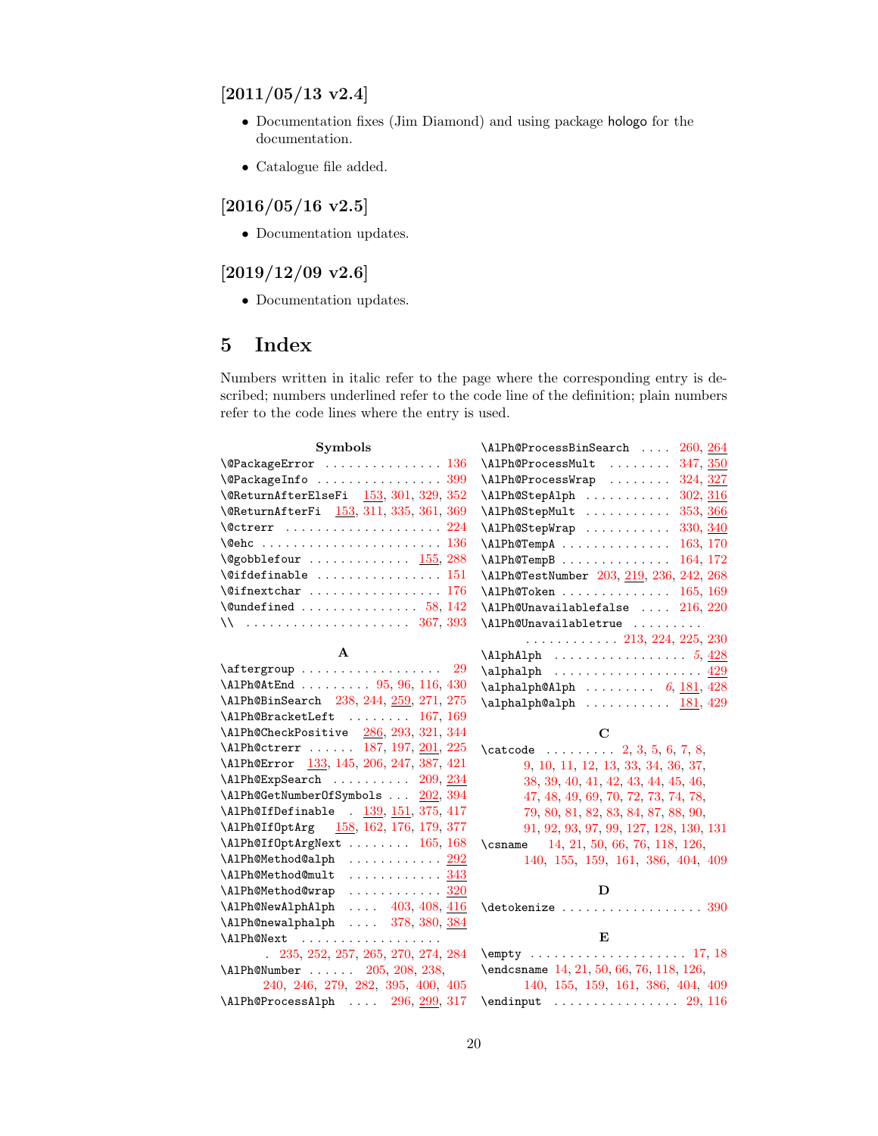# <span id="page-19-0"></span> $[2011/05/13 \text{ v}2.4]$

- Documentation fixes (Jim Diamond) and using package hologo for the documentation.
- Catalogue file added.

# <span id="page-19-1"></span> $[2016/05/16 \text{ v}2.5]$

• Documentation updates.

# <span id="page-19-2"></span> $[2019/12/09\;{\rm v}2.6]$

• Documentation updates.

# <span id="page-19-3"></span>5 Index

Numbers written in italic refer to the page where the corresponding entry is described; numbers underlined refer to the code line of the definition; plain numbers refer to the code lines where the entry is used.

| Symbols                                                               | \AlPh@ProcessBinSearch<br>260, 264                         |
|-----------------------------------------------------------------------|------------------------------------------------------------|
| $\Q$ PackageError  136                                                | $\Lambda$ Ph@ProcessMult  347, 350                         |
| \@PackageInfo  399                                                    | $\Lambda$ Ph@ProcessWrap  324, 327                         |
| \@ReturnAfterElseFi 153, 301, 329, 352                                | \AlPh@StepAlph  302, 316                                   |
| \@ReturnAfterFi 153, 311, 335, 361, 369                               | \AlPh@StepMult  353, 366                                   |
|                                                                       | \AlPh@StepWrap<br>330, 340                                 |
|                                                                       | \AlPh@TempA<br>163, 170                                    |
| $\qquad$ Qgobblefour $155, 288$                                       | \AlPh@TempB<br>164, 172                                    |
| $\setminus$ @ifdefinable  151                                         | \AlPh@TestNumber 203, 219, 236, 242, 268                   |
|                                                                       | $\Lambda$ Ph@Token  165, 169                               |
| $\text{Qundefined} \dots \dots \dots \dots \dots 58, 142$             | $\Lambda$ Ph@Unavailablefalse $216, 220$                   |
|                                                                       | \AlPh@Unavailabletrue                                      |
|                                                                       | $\ldots \ldots \ldots \ldots 213, 224, 225, 230$           |
| $\mathbf{A}$                                                          |                                                            |
|                                                                       |                                                            |
| \AlPh@AtEnd  95, 96, 116, 430                                         | $\alpha$ 1phalph@Alph  6, 181, 428                         |
| \AlPh@BinSearch 238, 244, 259, 271, 275                               | $\alpha$ lphalph@alph  181, 429                            |
| \AlPh@BracketLeft  167, 169                                           |                                                            |
|                                                                       |                                                            |
| \AlPh@CheckPositive 286, 293, 321, 344                                | $\mathbf C$                                                |
| \AlPh@ctrerr  187, 197, 201, 225                                      | $\text{2, 3, 5, 6, 7, 8}$                                  |
| \AlPh@Error 133, 145, 206, 247, 387, 421                              | 9, 10, 11, 12, 13, 33, 34, 36, 37,                         |
| $\Lambda$ Ph@ExpSearch $209, 234$                                     | 38, 39, 40, 41, 42, 43, 44, 45, 46,                        |
| \AlPh@GetNumberOfSymbols  202, 394                                    | 47, 48, 49, 69, 70, 72, 73, 74, 78,                        |
| $\Lambda$ Ph@IfDefinable . $139, 151, 375, 417$                       | 79, 80, 81, 82, 83, 84, 87, 88, 90,                        |
| \AlPh@If0ptArg 158, 162, 176, 179, 377                                | 91, 92, 93, 97, 99, 127, 128, 130, 131                     |
| \AlPh@If0ptArgNext  165, 168                                          | \csname 14, 21, 50, 66, 76, 118, 126,                      |
| $\Lambda$ Ph@Method@alph $292$                                        | 140, 155, 159, 161, 386, 404, 409                          |
| \AlPh@Method@mult  343                                                |                                                            |
| \AlPh@Method@wrap  320                                                | D                                                          |
| $\Lambda$ 1Ph@NewAlphAlph  403, 408, 416                              | $\det\left(\frac{390}{12}\right)$                          |
| \AlPh@newalphalph  378, 380, 384                                      |                                                            |
| \AlPh@Next                                                            | Е                                                          |
| $. \ 235, 252, 257, 265, 270, 274, 284$                               |                                                            |
| \AlPh@Number  205, 208, 238,                                          | \endcsname 14, 21, 50, 66, 76, 118, 126,                   |
| 240, 246, 279, 282, 395, 400, 405<br>\AlPh@ProcessAlph  296, 299, 317 | 140, 155, 159, 161, 386, 404, 409<br>$\end{imput}$ 29, 116 |